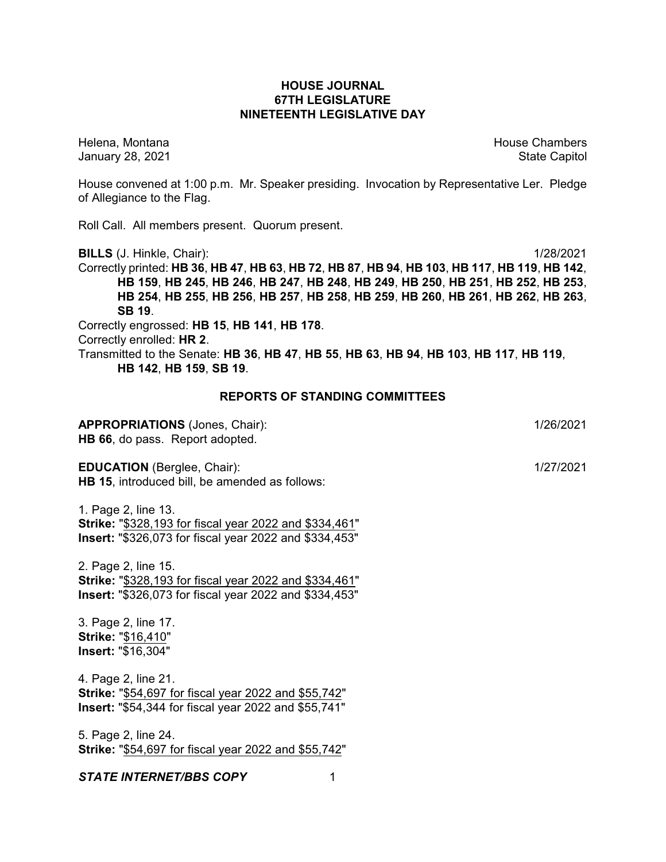## **HOUSE JOURNAL 67TH LEGISLATURE NINETEENTH LEGISLATIVE DAY**

Helena, Montana House Chambers Chambers Chambers and House Chambers Chambers Chambers Chambers Chambers Chambers Chambers Chambers Chambers Chambers Chambers Chambers Chambers Chambers Chambers Chambers Chambers Chambers C January 28, 2021 **State Capitol** 

House convened at 1:00 p.m. Mr. Speaker presiding. Invocation by Representative Ler. Pledge of Allegiance to the Flag.

Roll Call. All members present. Quorum present.

**BILLS** (J. Hinkle, Chair): 1/28/2021

Correctly printed: HB 36, HB 47, HB 63, HB 72, HB 87, HB 94, HB 103, HB 117, HB 119, HB 142, **HB 159**, **HB 245**, **HB 246**, **HB 247**, **HB 248**, **HB 249**, **HB 250**, **HB 251**, **HB 252**, **HB 253**, **HB 254**, **HB 255**, **HB 256**, **HB 257**, **HB 258**, **HB 259**, **HB 260**, **HB 261**, **HB 262**, **HB 263**, **SB 19**.

Correctly engrossed: **HB 15**, **HB 141**, **HB 178**.

Correctly enrolled: **HR 2**.

Transmitted to the Senate: **HB 36**, **HB 47**, **HB 55**, **HB 63**, **HB 94**, **HB 103**, **HB 117**, **HB 119**, **HB 142**, **HB 159**, **SB 19**.

#### **REPORTS OF STANDING COMMITTEES**

**APPROPRIATIONS** (Jones, Chair): 1/26/2021 **HB 66**, do pass. Report adopted.

**EDUCATION** (Berglee, Chair): 1/27/2021 **HB 15**, introduced bill, be amended as follows:

1. Page 2, line 13. **Strike:** "\$328,193 for fiscal year 2022 and \$334,461" **Insert:** "\$326,073 for fiscal year 2022 and \$334,453"

2. Page 2, line 15. **Strike:** "\$328,193 for fiscal year 2022 and \$334,461"

**Insert:** "\$326,073 for fiscal year 2022 and \$334,453"

3. Page 2, line 17. **Strike:** "\$16,410" **Insert:** "\$16,304"

4. Page 2, line 21. **Strike:** "\$54,697 for fiscal year 2022 and \$55,742" **Insert:** "\$54,344 for fiscal year 2022 and \$55,741"

5. Page 2, line 24. **Strike:** "\$54,697 for fiscal year 2022 and \$55,742"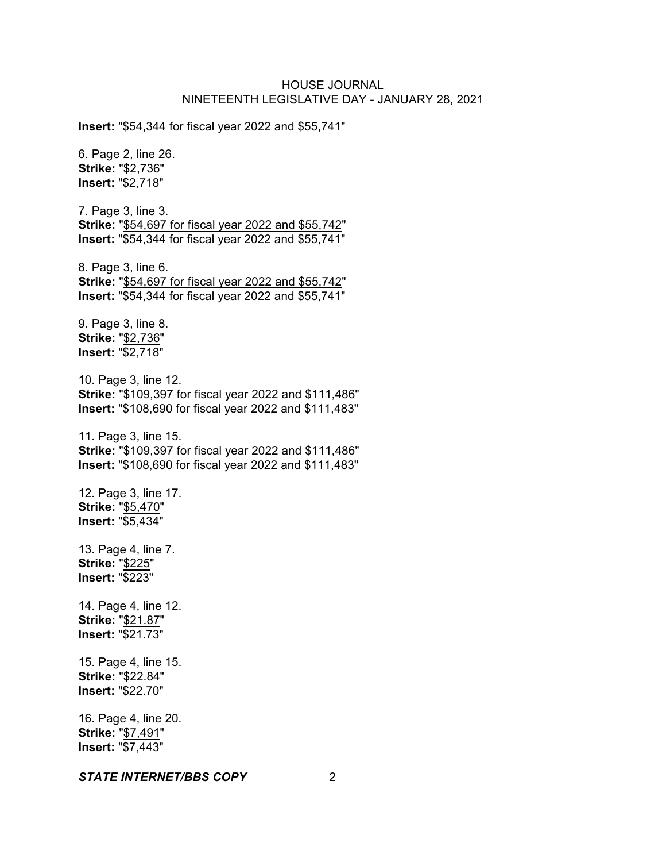**Insert:** "\$54,344 for fiscal year 2022 and \$55,741"

6. Page 2, line 26. **Strike:** "\$2,736" **Insert:** "\$2,718" 7. Page 3, line 3. **Strike:** "\$54,697 for fiscal year 2022 and \$55,742" **Insert:** "\$54,344 for fiscal year 2022 and \$55,741" 8. Page 3, line 6. **Strike:** "\$54,697 for fiscal year 2022 and \$55,742" **Insert:** "\$54,344 for fiscal year 2022 and \$55,741" 9. Page 3, line 8. **Strike:** "\$2,736" **Insert:** "\$2,718" 10. Page 3, line 12. **Strike:** "\$109,397 for fiscal year 2022 and \$111,486" **Insert:** "\$108,690 for fiscal year 2022 and \$111,483" 11. Page 3, line 15. **Strike:** "\$109,397 for fiscal year 2022 and \$111,486" **Insert:** "\$108,690 for fiscal year 2022 and \$111,483" 12. Page 3, line 17. **Strike:** "\$5,470" **Insert:** "\$5,434" 13. Page 4, line 7. **Strike:** "\$225" **Insert:** "\$223" 14. Page 4, line 12. **Strike:** "\$21.87" **Insert:** "\$21.73" 15. Page 4, line 15. **Strike:** "\$22.84" **Insert:** "\$22.70" 16. Page 4, line 20. **Strike:** "\$7,491" **Insert:** "\$7,443"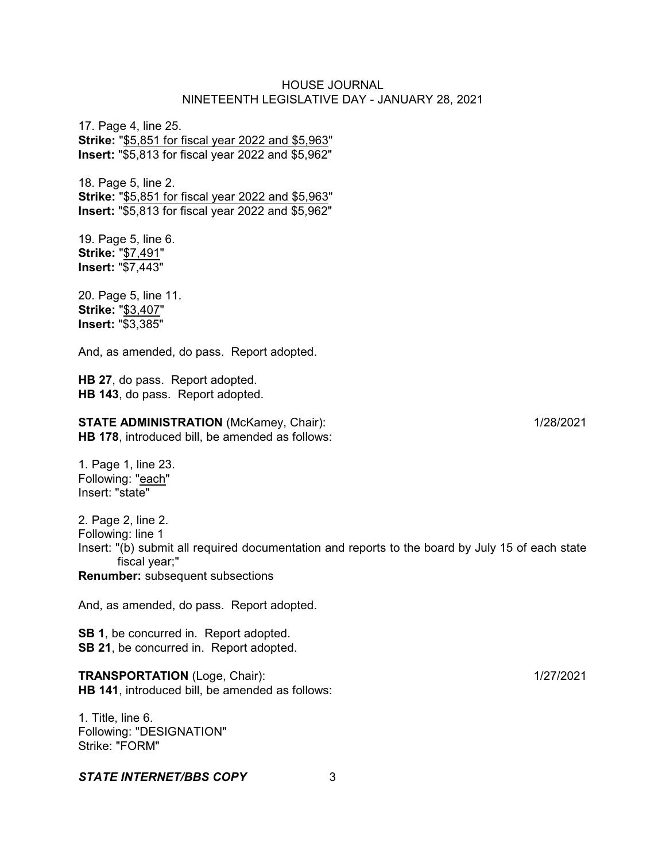17. Page 4, line 25. **Strike:** "\$5,851 for fiscal year 2022 and \$5,963" **Insert:** "\$5,813 for fiscal year 2022 and \$5,962"

18. Page 5, line 2. **Strike:** "\$5,851 for fiscal year 2022 and \$5,963" **Insert:** "\$5,813 for fiscal year 2022 and \$5,962"

19. Page 5, line 6. **Strike:** "\$7,491" **Insert:** "\$7,443"

20. Page 5, line 11. **Strike:** "\$3,407" **Insert:** "\$3,385"

And, as amended, do pass. Report adopted.

**HB 27**, do pass. Report adopted. **HB 143**, do pass. Report adopted.

**STATE ADMINISTRATION** (McKamey, Chair): 1/28/2021 **HB 178**, introduced bill, be amended as follows:

1. Page 1, line 23. Following: "each" Insert: "state"

2. Page 2, line 2. Following: line 1 Insert: "(b) submit all required documentation and reports to the board by July 15 of each state fiscal year;"

**Renumber:** subsequent subsections

And, as amended, do pass. Report adopted.

**SB 1**, be concurred in. Report adopted. **SB 21**, be concurred in. Report adopted.

**TRANSPORTATION** (Loge, Chair): 1/27/2021 **HB 141**, introduced bill, be amended as follows:

1. Title, line 6. Following: "DESIGNATION" Strike: "FORM"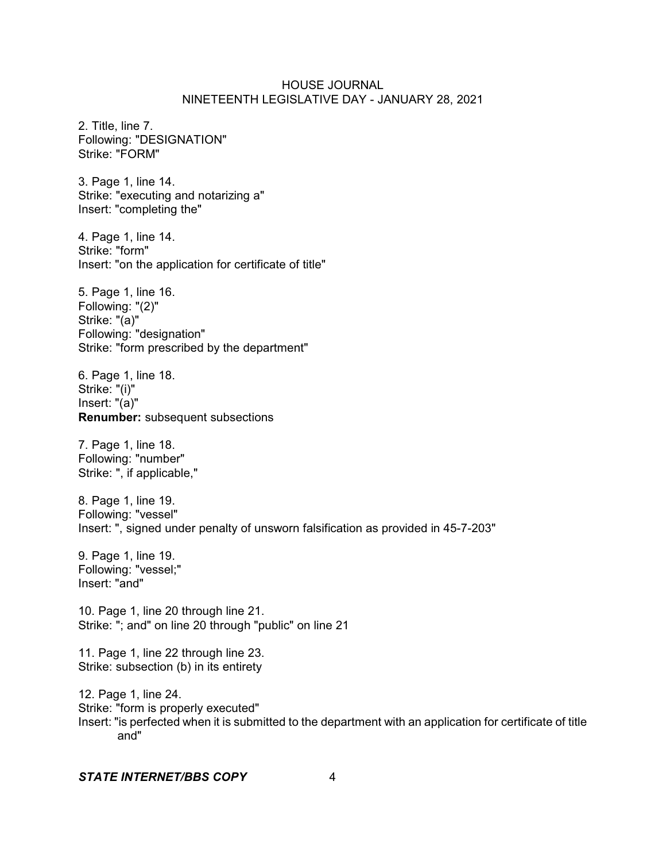2. Title, line 7. Following: "DESIGNATION" Strike: "FORM"

3. Page 1, line 14. Strike: "executing and notarizing a" Insert: "completing the"

4. Page 1, line 14. Strike: "form" Insert: "on the application for certificate of title"

5. Page 1, line 16. Following: "(2)" Strike: "(a)" Following: "designation" Strike: "form prescribed by the department"

6. Page 1, line 18. Strike: "(i)" Insert: "(a)" **Renumber:** subsequent subsections

7. Page 1, line 18. Following: "number" Strike: ", if applicable,"

8. Page 1, line 19. Following: "vessel" Insert: ", signed under penalty of unsworn falsification as provided in 45-7-203"

9. Page 1, line 19. Following: "vessel;" Insert: "and"

10. Page 1, line 20 through line 21. Strike: "; and" on line 20 through "public" on line 21

11. Page 1, line 22 through line 23. Strike: subsection (b) in its entirety

12. Page 1, line 24. Strike: "form is properly executed" Insert: "is perfected when it is submitted to the department with an application for certificate of title and"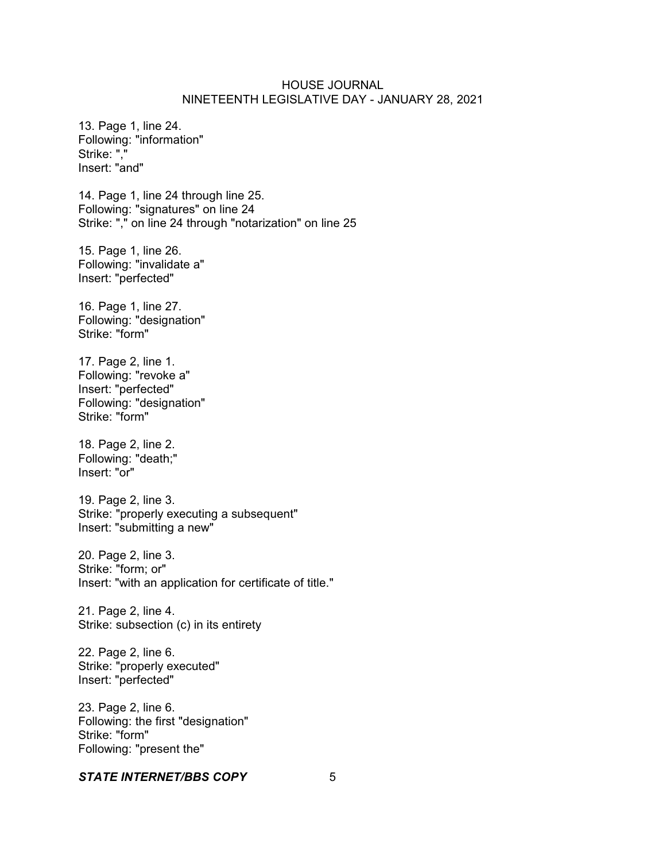13. Page 1, line 24. Following: "information" Strike: "," Insert: "and"

14. Page 1, line 24 through line 25. Following: "signatures" on line 24 Strike: "," on line 24 through "notarization" on line 25

15. Page 1, line 26. Following: "invalidate a" Insert: "perfected"

16. Page 1, line 27. Following: "designation" Strike: "form"

17. Page 2, line 1. Following: "revoke a" Insert: "perfected" Following: "designation" Strike: "form"

18. Page 2, line 2. Following: "death;" Insert: "or"

19. Page 2, line 3. Strike: "properly executing a subsequent" Insert: "submitting a new"

20. Page 2, line 3. Strike: "form; or" Insert: "with an application for certificate of title."

21. Page 2, line 4. Strike: subsection (c) in its entirety

22. Page 2, line 6. Strike: "properly executed" Insert: "perfected"

23. Page 2, line 6. Following: the first "designation" Strike: "form" Following: "present the"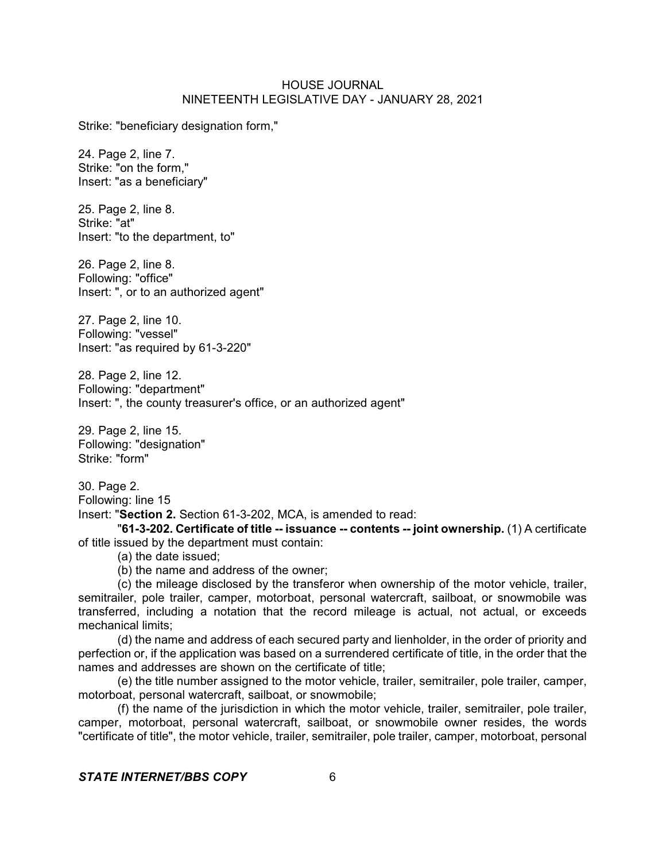Strike: "beneficiary designation form,"

24. Page 2, line 7. Strike: "on the form," Insert: "as a beneficiary"

25. Page 2, line 8. Strike: "at" Insert: "to the department, to"

26. Page 2, line 8. Following: "office" Insert: ", or to an authorized agent"

27. Page 2, line 10. Following: "vessel" Insert: "as required by 61-3-220"

28. Page 2, line 12. Following: "department" Insert: ", the county treasurer's office, or an authorized agent"

29. Page 2, line 15. Following: "designation" Strike: "form"

30. Page 2. Following: line 15

Insert: "**Section 2.** Section 61-3-202, MCA, is amended to read:

"**61-3-202. Certificate of title -- issuance -- contents -- joint ownership.** (1) A certificate of title issued by the department must contain:

(a) the date issued;

(b) the name and address of the owner;

(c) the mileage disclosed by the transferor when ownership of the motor vehicle, trailer, semitrailer, pole trailer, camper, motorboat, personal watercraft, sailboat, or snowmobile was transferred, including a notation that the record mileage is actual, not actual, or exceeds mechanical limits;

(d) the name and address of each secured party and lienholder, in the order of priority and perfection or, if the application was based on a surrendered certificate of title, in the order that the names and addresses are shown on the certificate of title;

(e) the title number assigned to the motor vehicle, trailer, semitrailer, pole trailer, camper, motorboat, personal watercraft, sailboat, or snowmobile;

(f) the name of the jurisdiction in which the motor vehicle, trailer, semitrailer, pole trailer, camper, motorboat, personal watercraft, sailboat, or snowmobile owner resides, the words "certificate of title", the motor vehicle, trailer, semitrailer, pole trailer, camper, motorboat, personal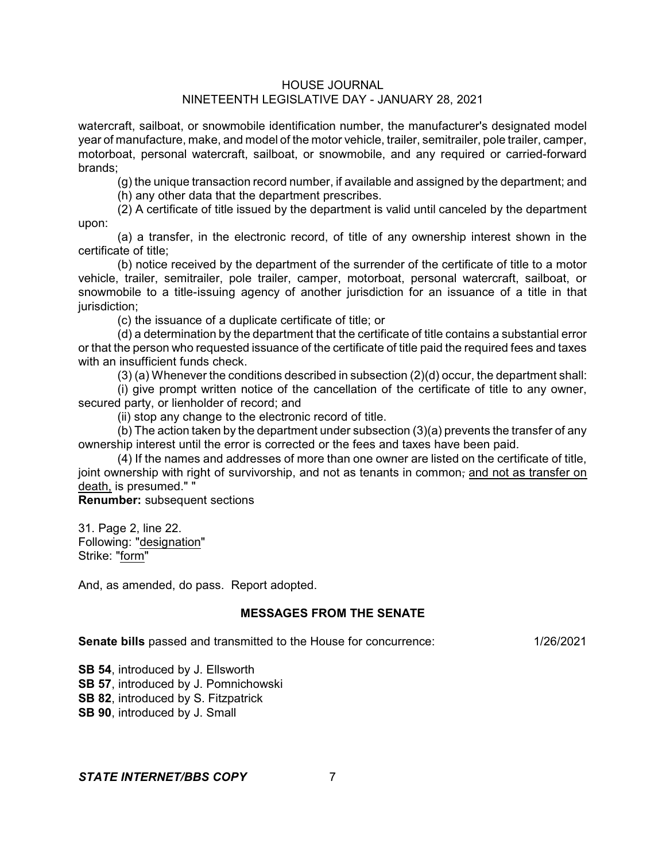## HOUSE JOURNAL

# NINETEENTH LEGISLATIVE DAY - JANUARY 28, 2021

watercraft, sailboat, or snowmobile identification number, the manufacturer's designated model year of manufacture, make, and model of the motor vehicle, trailer, semitrailer, pole trailer, camper, motorboat, personal watercraft, sailboat, or snowmobile, and any required or carried-forward brands;

(g) the unique transaction record number, if available and assigned by the department; and (h) any other data that the department prescribes.

(2) A certificate of title issued by the department is valid until canceled by the department

upon:

(a) a transfer, in the electronic record, of title of any ownership interest shown in the certificate of title;

(b) notice received by the department of the surrender of the certificate of title to a motor vehicle, trailer, semitrailer, pole trailer, camper, motorboat, personal watercraft, sailboat, or snowmobile to a title-issuing agency of another jurisdiction for an issuance of a title in that jurisdiction;

(c) the issuance of a duplicate certificate of title; or

(d) a determination by the department that the certificate of title contains a substantial error or that the person who requested issuance of the certificate of title paid the required fees and taxes with an insufficient funds check.

(3) (a) Whenever the conditions described in subsection (2)(d) occur, the department shall:

(i) give prompt written notice of the cancellation of the certificate of title to any owner, secured party, or lienholder of record; and

(ii) stop any change to the electronic record of title.

(b) The action taken by the department under subsection (3)(a) prevents the transfer of any ownership interest until the error is corrected or the fees and taxes have been paid.

(4) If the names and addresses of more than one owner are listed on the certificate of title, joint ownership with right of survivorship, and not as tenants in common, and not as transfer on death, is presumed." "

**Renumber:** subsequent sections

31. Page 2, line 22. Following: "designation" Strike: "form"

And, as amended, do pass. Report adopted.

## **MESSAGES FROM THE SENATE**

**Senate bills** passed and transmitted to the House for concurrence: 1/26/2021

**SB 54**, introduced by J. Ellsworth

**SB 57**, introduced by J. Pomnichowski

**SB 82**, introduced by S. Fitzpatrick

**SB 90**, introduced by J. Small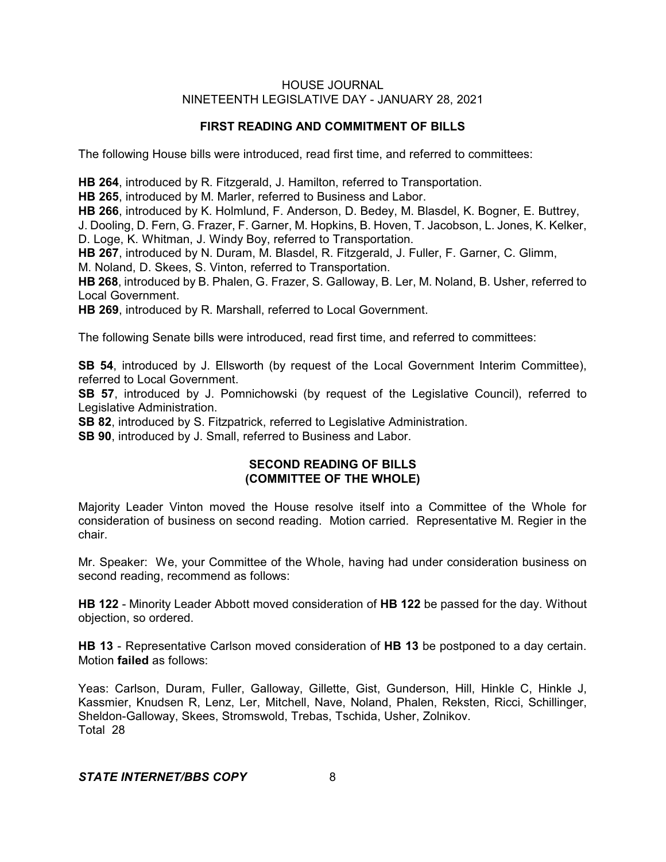## **FIRST READING AND COMMITMENT OF BILLS**

The following House bills were introduced, read first time, and referred to committees:

**HB 264**, introduced by R. Fitzgerald, J. Hamilton, referred to Transportation.

**HB 265**, introduced by M. Marler, referred to Business and Labor.

**HB 266**, introduced by K. Holmlund, F. Anderson, D. Bedey, M. Blasdel, K. Bogner, E. Buttrey, J. Dooling, D. Fern, G. Frazer, F. Garner, M. Hopkins, B. Hoven, T. Jacobson, L. Jones, K. Kelker, D. Loge, K. Whitman, J. Windy Boy, referred to Transportation.

**HB 267**, introduced by N. Duram, M. Blasdel, R. Fitzgerald, J. Fuller, F. Garner, C. Glimm, M. Noland, D. Skees, S. Vinton, referred to Transportation.

**HB 268**, introduced by B. Phalen, G. Frazer, S. Galloway, B. Ler, M. Noland, B. Usher, referred to Local Government.

**HB 269**, introduced by R. Marshall, referred to Local Government.

The following Senate bills were introduced, read first time, and referred to committees:

**SB 54**, introduced by J. Ellsworth (by request of the Local Government Interim Committee), referred to Local Government.

**SB 57**, introduced by J. Pomnichowski (by request of the Legislative Council), referred to Legislative Administration.

**SB 82**, introduced by S. Fitzpatrick, referred to Legislative Administration.

**SB 90**, introduced by J. Small, referred to Business and Labor.

## **SECOND READING OF BILLS (COMMITTEE OF THE WHOLE)**

Majority Leader Vinton moved the House resolve itself into a Committee of the Whole for consideration of business on second reading. Motion carried. Representative M. Regier in the chair.

Mr. Speaker: We, your Committee of the Whole, having had under consideration business on second reading, recommend as follows:

**HB 122** - Minority Leader Abbott moved consideration of **HB 122** be passed for the day. Without objection, so ordered.

**HB 13** - Representative Carlson moved consideration of **HB 13** be postponed to a day certain. Motion **failed** as follows:

Yeas: Carlson, Duram, Fuller, Galloway, Gillette, Gist, Gunderson, Hill, Hinkle C, Hinkle J, Kassmier, Knudsen R, Lenz, Ler, Mitchell, Nave, Noland, Phalen, Reksten, Ricci, Schillinger, Sheldon-Galloway, Skees, Stromswold, Trebas, Tschida, Usher, Zolnikov. Total 28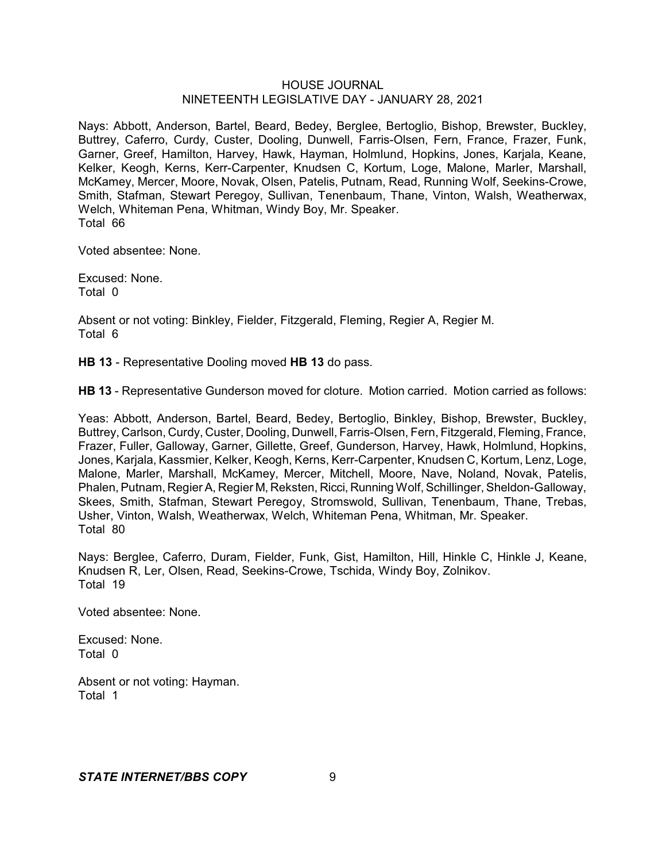Nays: Abbott, Anderson, Bartel, Beard, Bedey, Berglee, Bertoglio, Bishop, Brewster, Buckley, Buttrey, Caferro, Curdy, Custer, Dooling, Dunwell, Farris-Olsen, Fern, France, Frazer, Funk, Garner, Greef, Hamilton, Harvey, Hawk, Hayman, Holmlund, Hopkins, Jones, Karjala, Keane, Kelker, Keogh, Kerns, Kerr-Carpenter, Knudsen C, Kortum, Loge, Malone, Marler, Marshall, McKamey, Mercer, Moore, Novak, Olsen, Patelis, Putnam, Read, Running Wolf, Seekins-Crowe, Smith, Stafman, Stewart Peregoy, Sullivan, Tenenbaum, Thane, Vinton, Walsh, Weatherwax, Welch, Whiteman Pena, Whitman, Windy Boy, Mr. Speaker. Total 66

Voted absentee: None.

Excused: None. Total 0

Absent or not voting: Binkley, Fielder, Fitzgerald, Fleming, Regier A, Regier M. Total 6

**HB 13** - Representative Dooling moved **HB 13** do pass.

**HB 13** - Representative Gunderson moved for cloture. Motion carried. Motion carried as follows:

Yeas: Abbott, Anderson, Bartel, Beard, Bedey, Bertoglio, Binkley, Bishop, Brewster, Buckley, Buttrey, Carlson, Curdy, Custer, Dooling, Dunwell, Farris-Olsen, Fern, Fitzgerald, Fleming, France, Frazer, Fuller, Galloway, Garner, Gillette, Greef, Gunderson, Harvey, Hawk, Holmlund, Hopkins, Jones, Karjala, Kassmier, Kelker, Keogh, Kerns, Kerr-Carpenter, Knudsen C, Kortum, Lenz, Loge, Malone, Marler, Marshall, McKamey, Mercer, Mitchell, Moore, Nave, Noland, Novak, Patelis, Phalen, Putnam, Regier A, Regier M, Reksten, Ricci, Running Wolf, Schillinger, Sheldon-Galloway, Skees, Smith, Stafman, Stewart Peregoy, Stromswold, Sullivan, Tenenbaum, Thane, Trebas, Usher, Vinton, Walsh, Weatherwax, Welch, Whiteman Pena, Whitman, Mr. Speaker. Total 80

Nays: Berglee, Caferro, Duram, Fielder, Funk, Gist, Hamilton, Hill, Hinkle C, Hinkle J, Keane, Knudsen R, Ler, Olsen, Read, Seekins-Crowe, Tschida, Windy Boy, Zolnikov. Total 19

Voted absentee: None.

Excused: None. Total 0

Absent or not voting: Hayman. Total 1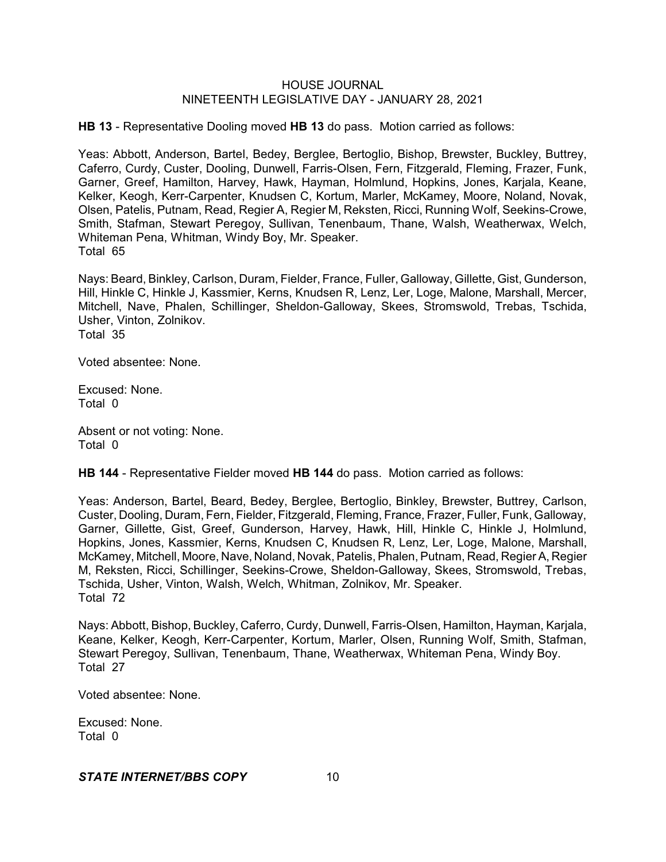**HB 13** - Representative Dooling moved **HB 13** do pass. Motion carried as follows:

Yeas: Abbott, Anderson, Bartel, Bedey, Berglee, Bertoglio, Bishop, Brewster, Buckley, Buttrey, Caferro, Curdy, Custer, Dooling, Dunwell, Farris-Olsen, Fern, Fitzgerald, Fleming, Frazer, Funk, Garner, Greef, Hamilton, Harvey, Hawk, Hayman, Holmlund, Hopkins, Jones, Karjala, Keane, Kelker, Keogh, Kerr-Carpenter, Knudsen C, Kortum, Marler, McKamey, Moore, Noland, Novak, Olsen, Patelis, Putnam, Read, Regier A, Regier M, Reksten, Ricci, Running Wolf, Seekins-Crowe, Smith, Stafman, Stewart Peregoy, Sullivan, Tenenbaum, Thane, Walsh, Weatherwax, Welch, Whiteman Pena, Whitman, Windy Boy, Mr. Speaker. Total 65

Nays: Beard, Binkley, Carlson, Duram, Fielder, France, Fuller, Galloway, Gillette, Gist, Gunderson, Hill, Hinkle C, Hinkle J, Kassmier, Kerns, Knudsen R, Lenz, Ler, Loge, Malone, Marshall, Mercer, Mitchell, Nave, Phalen, Schillinger, Sheldon-Galloway, Skees, Stromswold, Trebas, Tschida, Usher, Vinton, Zolnikov. Total 35

Voted absentee: None.

Excused: None. Total 0

Absent or not voting: None. Total 0

**HB 144** - Representative Fielder moved **HB 144** do pass. Motion carried as follows:

Yeas: Anderson, Bartel, Beard, Bedey, Berglee, Bertoglio, Binkley, Brewster, Buttrey, Carlson, Custer, Dooling, Duram, Fern, Fielder, Fitzgerald, Fleming, France, Frazer, Fuller, Funk, Galloway, Garner, Gillette, Gist, Greef, Gunderson, Harvey, Hawk, Hill, Hinkle C, Hinkle J, Holmlund, Hopkins, Jones, Kassmier, Kerns, Knudsen C, Knudsen R, Lenz, Ler, Loge, Malone, Marshall, McKamey, Mitchell, Moore, Nave, Noland, Novak,Patelis, Phalen, Putnam, Read, Regier A, Regier M, Reksten, Ricci, Schillinger, Seekins-Crowe, Sheldon-Galloway, Skees, Stromswold, Trebas, Tschida, Usher, Vinton, Walsh, Welch, Whitman, Zolnikov, Mr. Speaker. Total 72

Nays: Abbott, Bishop, Buckley, Caferro, Curdy, Dunwell, Farris-Olsen, Hamilton, Hayman, Karjala, Keane, Kelker, Keogh, Kerr-Carpenter, Kortum, Marler, Olsen, Running Wolf, Smith, Stafman, Stewart Peregoy, Sullivan, Tenenbaum, Thane, Weatherwax, Whiteman Pena, Windy Boy. Total 27

Voted absentee: None.

Excused: None. Total 0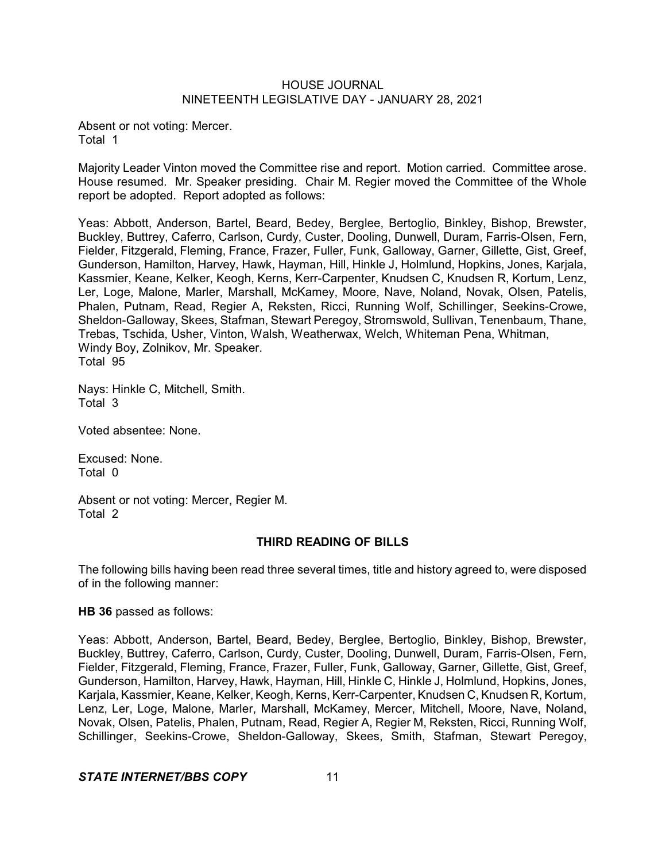Absent or not voting: Mercer. Total 1

Majority Leader Vinton moved the Committee rise and report. Motion carried. Committee arose. House resumed. Mr. Speaker presiding. Chair M. Regier moved the Committee of the Whole report be adopted. Report adopted as follows:

Yeas: Abbott, Anderson, Bartel, Beard, Bedey, Berglee, Bertoglio, Binkley, Bishop, Brewster, Buckley, Buttrey, Caferro, Carlson, Curdy, Custer, Dooling, Dunwell, Duram, Farris-Olsen, Fern, Fielder, Fitzgerald, Fleming, France, Frazer, Fuller, Funk, Galloway, Garner, Gillette, Gist, Greef, Gunderson, Hamilton, Harvey, Hawk, Hayman, Hill, Hinkle J, Holmlund, Hopkins, Jones, Karjala, Kassmier, Keane, Kelker, Keogh, Kerns, Kerr-Carpenter, Knudsen C, Knudsen R, Kortum, Lenz, Ler, Loge, Malone, Marler, Marshall, McKamey, Moore, Nave, Noland, Novak, Olsen, Patelis, Phalen, Putnam, Read, Regier A, Reksten, Ricci, Running Wolf, Schillinger, Seekins-Crowe, Sheldon-Galloway, Skees, Stafman, Stewart Peregoy, Stromswold, Sullivan, Tenenbaum, Thane, Trebas, Tschida, Usher, Vinton, Walsh, Weatherwax, Welch, Whiteman Pena, Whitman, Windy Boy, Zolnikov, Mr. Speaker. Total 95

Nays: Hinkle C, Mitchell, Smith. Total 3

Voted absentee: None.

Excused: None. Total 0

Absent or not voting: Mercer, Regier M. Total 2

## **THIRD READING OF BILLS**

The following bills having been read three several times, title and history agreed to, were disposed of in the following manner:

**HB 36** passed as follows:

Yeas: Abbott, Anderson, Bartel, Beard, Bedey, Berglee, Bertoglio, Binkley, Bishop, Brewster, Buckley, Buttrey, Caferro, Carlson, Curdy, Custer, Dooling, Dunwell, Duram, Farris-Olsen, Fern, Fielder, Fitzgerald, Fleming, France, Frazer, Fuller, Funk, Galloway, Garner, Gillette, Gist, Greef, Gunderson, Hamilton, Harvey, Hawk, Hayman, Hill, Hinkle C, Hinkle J, Holmlund, Hopkins, Jones, Karjala, Kassmier, Keane, Kelker, Keogh, Kerns, Kerr-Carpenter, Knudsen C, Knudsen R, Kortum, Lenz, Ler, Loge, Malone, Marler, Marshall, McKamey, Mercer, Mitchell, Moore, Nave, Noland, Novak, Olsen, Patelis, Phalen, Putnam, Read, Regier A, Regier M, Reksten, Ricci, Running Wolf, Schillinger, Seekins-Crowe, Sheldon-Galloway, Skees, Smith, Stafman, Stewart Peregoy,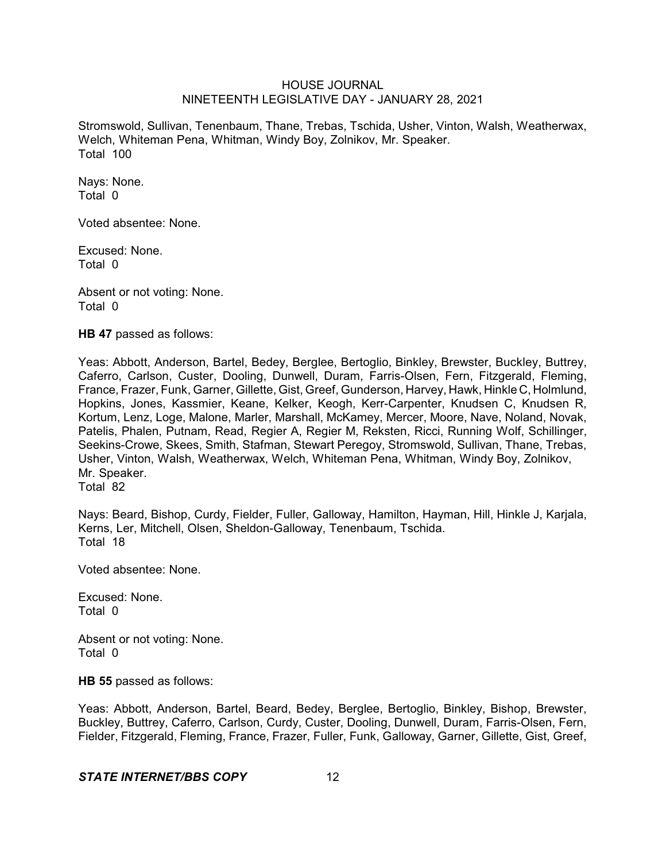Stromswold, Sullivan, Tenenbaum, Thane, Trebas, Tschida, Usher, Vinton, Walsh, Weatherwax, Welch, Whiteman Pena, Whitman, Windy Boy, Zolnikov, Mr. Speaker. Total 100

Nays: None. Total 0

Voted absentee: None.

Excused: None. Total 0

Absent or not voting: None. Total 0

**HB 47** passed as follows:

Yeas: Abbott, Anderson, Bartel, Bedey, Berglee, Bertoglio, Binkley, Brewster, Buckley, Buttrey, Caferro, Carlson, Custer, Dooling, Dunwell, Duram, Farris-Olsen, Fern, Fitzgerald, Fleming, France, Frazer, Funk, Garner, Gillette, Gist, Greef, Gunderson, Harvey, Hawk, Hinkle C, Holmlund, Hopkins, Jones, Kassmier, Keane, Kelker, Keogh, Kerr-Carpenter, Knudsen C, Knudsen R, Kortum, Lenz, Loge, Malone, Marler, Marshall, McKamey, Mercer, Moore, Nave, Noland, Novak, Patelis, Phalen, Putnam, Read, Regier A, Regier M, Reksten, Ricci, Running Wolf, Schillinger, Seekins-Crowe, Skees, Smith, Stafman, Stewart Peregoy, Stromswold, Sullivan, Thane, Trebas, Usher, Vinton, Walsh, Weatherwax, Welch, Whiteman Pena, Whitman, Windy Boy, Zolnikov, Mr. Speaker. Total 82

Nays: Beard, Bishop, Curdy, Fielder, Fuller, Galloway, Hamilton, Hayman, Hill, Hinkle J, Karjala, Kerns, Ler, Mitchell, Olsen, Sheldon-Galloway, Tenenbaum, Tschida. Total 18

Voted absentee: None.

Excused: None. Total 0

Absent or not voting: None. Total 0

**HB 55** passed as follows:

Yeas: Abbott, Anderson, Bartel, Beard, Bedey, Berglee, Bertoglio, Binkley, Bishop, Brewster, Buckley, Buttrey, Caferro, Carlson, Curdy, Custer, Dooling, Dunwell, Duram, Farris-Olsen, Fern, Fielder, Fitzgerald, Fleming, France, Frazer, Fuller, Funk, Galloway, Garner, Gillette, Gist, Greef,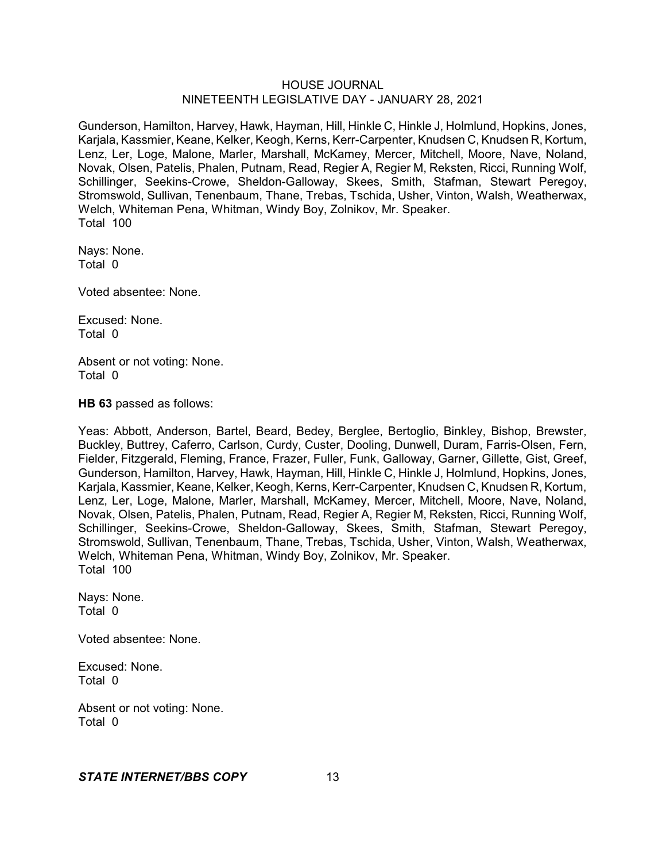Gunderson, Hamilton, Harvey, Hawk, Hayman, Hill, Hinkle C, Hinkle J, Holmlund, Hopkins, Jones, Karjala, Kassmier, Keane, Kelker, Keogh, Kerns, Kerr-Carpenter, Knudsen C, Knudsen R, Kortum, Lenz, Ler, Loge, Malone, Marler, Marshall, McKamey, Mercer, Mitchell, Moore, Nave, Noland, Novak, Olsen, Patelis, Phalen, Putnam, Read, Regier A, Regier M, Reksten, Ricci, Running Wolf, Schillinger, Seekins-Crowe, Sheldon-Galloway, Skees, Smith, Stafman, Stewart Peregoy, Stromswold, Sullivan, Tenenbaum, Thane, Trebas, Tschida, Usher, Vinton, Walsh, Weatherwax, Welch, Whiteman Pena, Whitman, Windy Boy, Zolnikov, Mr. Speaker. Total 100

Nays: None. Total 0

Voted absentee: None.

Excused: None. Total 0

Absent or not voting: None. Total 0

**HB 63** passed as follows:

Yeas: Abbott, Anderson, Bartel, Beard, Bedey, Berglee, Bertoglio, Binkley, Bishop, Brewster, Buckley, Buttrey, Caferro, Carlson, Curdy, Custer, Dooling, Dunwell, Duram, Farris-Olsen, Fern, Fielder, Fitzgerald, Fleming, France, Frazer, Fuller, Funk, Galloway, Garner, Gillette, Gist, Greef, Gunderson, Hamilton, Harvey, Hawk, Hayman, Hill, Hinkle C, Hinkle J, Holmlund, Hopkins, Jones, Karjala, Kassmier, Keane, Kelker, Keogh, Kerns, Kerr-Carpenter, Knudsen C, Knudsen R, Kortum, Lenz, Ler, Loge, Malone, Marler, Marshall, McKamey, Mercer, Mitchell, Moore, Nave, Noland, Novak, Olsen, Patelis, Phalen, Putnam, Read, Regier A, Regier M, Reksten, Ricci, Running Wolf, Schillinger, Seekins-Crowe, Sheldon-Galloway, Skees, Smith, Stafman, Stewart Peregoy, Stromswold, Sullivan, Tenenbaum, Thane, Trebas, Tschida, Usher, Vinton, Walsh, Weatherwax, Welch, Whiteman Pena, Whitman, Windy Boy, Zolnikov, Mr. Speaker. Total 100

Nays: None. Total 0

Voted absentee: None.

Excused: None. Total 0

Absent or not voting: None. Total 0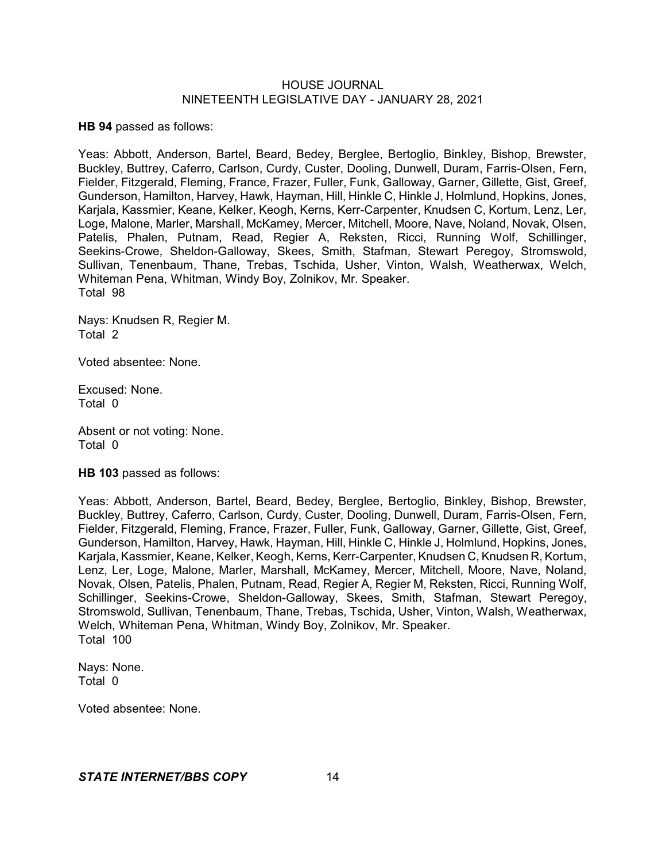**HB 94** passed as follows:

Yeas: Abbott, Anderson, Bartel, Beard, Bedey, Berglee, Bertoglio, Binkley, Bishop, Brewster, Buckley, Buttrey, Caferro, Carlson, Curdy, Custer, Dooling, Dunwell, Duram, Farris-Olsen, Fern, Fielder, Fitzgerald, Fleming, France, Frazer, Fuller, Funk, Galloway, Garner, Gillette, Gist, Greef, Gunderson, Hamilton, Harvey, Hawk, Hayman, Hill, Hinkle C, Hinkle J, Holmlund, Hopkins, Jones, Karjala, Kassmier, Keane, Kelker, Keogh, Kerns, Kerr-Carpenter, Knudsen C, Kortum, Lenz, Ler, Loge, Malone, Marler, Marshall, McKamey, Mercer, Mitchell, Moore, Nave, Noland, Novak, Olsen, Patelis, Phalen, Putnam, Read, Regier A, Reksten, Ricci, Running Wolf, Schillinger, Seekins-Crowe, Sheldon-Galloway, Skees, Smith, Stafman, Stewart Peregoy, Stromswold, Sullivan, Tenenbaum, Thane, Trebas, Tschida, Usher, Vinton, Walsh, Weatherwax, Welch, Whiteman Pena, Whitman, Windy Boy, Zolnikov, Mr. Speaker. Total 98

Nays: Knudsen R, Regier M. Total 2

Voted absentee: None.

Excused: None. Total 0

Absent or not voting: None. Total 0

**HB 103** passed as follows:

Yeas: Abbott, Anderson, Bartel, Beard, Bedey, Berglee, Bertoglio, Binkley, Bishop, Brewster, Buckley, Buttrey, Caferro, Carlson, Curdy, Custer, Dooling, Dunwell, Duram, Farris-Olsen, Fern, Fielder, Fitzgerald, Fleming, France, Frazer, Fuller, Funk, Galloway, Garner, Gillette, Gist, Greef, Gunderson, Hamilton, Harvey, Hawk, Hayman, Hill, Hinkle C, Hinkle J, Holmlund, Hopkins, Jones, Karjala, Kassmier, Keane, Kelker, Keogh, Kerns, Kerr-Carpenter, Knudsen C, Knudsen R, Kortum, Lenz, Ler, Loge, Malone, Marler, Marshall, McKamey, Mercer, Mitchell, Moore, Nave, Noland, Novak, Olsen, Patelis, Phalen, Putnam, Read, Regier A, Regier M, Reksten, Ricci, Running Wolf, Schillinger, Seekins-Crowe, Sheldon-Galloway, Skees, Smith, Stafman, Stewart Peregoy, Stromswold, Sullivan, Tenenbaum, Thane, Trebas, Tschida, Usher, Vinton, Walsh, Weatherwax, Welch, Whiteman Pena, Whitman, Windy Boy, Zolnikov, Mr. Speaker. Total 100

Nays: None. Total 0

Voted absentee: None.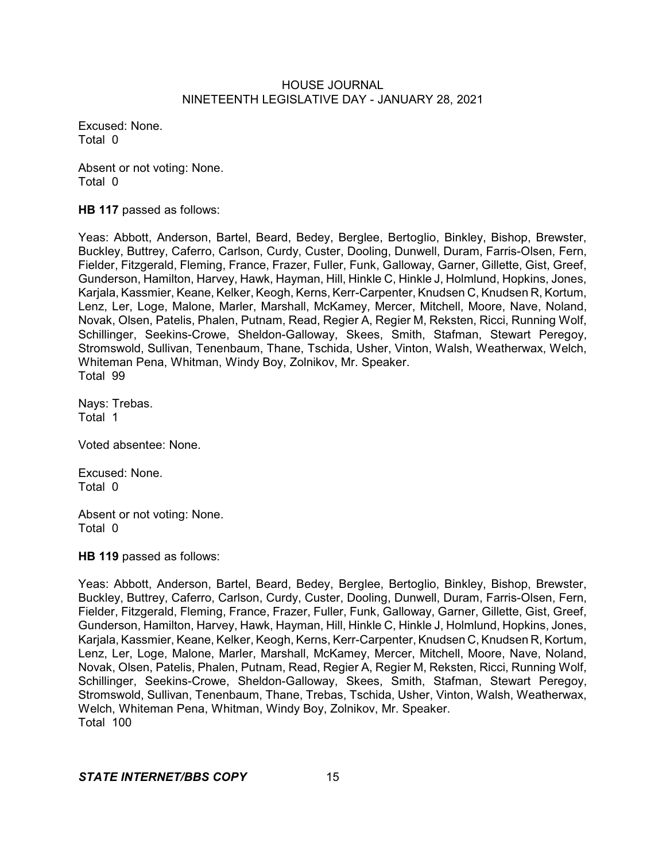Excused: None. Total 0

Absent or not voting: None. Total 0

**HB 117** passed as follows:

Yeas: Abbott, Anderson, Bartel, Beard, Bedey, Berglee, Bertoglio, Binkley, Bishop, Brewster, Buckley, Buttrey, Caferro, Carlson, Curdy, Custer, Dooling, Dunwell, Duram, Farris-Olsen, Fern, Fielder, Fitzgerald, Fleming, France, Frazer, Fuller, Funk, Galloway, Garner, Gillette, Gist, Greef, Gunderson, Hamilton, Harvey, Hawk, Hayman, Hill, Hinkle C, Hinkle J, Holmlund, Hopkins, Jones, Karjala, Kassmier, Keane, Kelker, Keogh, Kerns, Kerr-Carpenter, Knudsen C, Knudsen R, Kortum, Lenz, Ler, Loge, Malone, Marler, Marshall, McKamey, Mercer, Mitchell, Moore, Nave, Noland, Novak, Olsen, Patelis, Phalen, Putnam, Read, Regier A, Regier M, Reksten, Ricci, Running Wolf, Schillinger, Seekins-Crowe, Sheldon-Galloway, Skees, Smith, Stafman, Stewart Peregoy, Stromswold, Sullivan, Tenenbaum, Thane, Tschida, Usher, Vinton, Walsh, Weatherwax, Welch, Whiteman Pena, Whitman, Windy Boy, Zolnikov, Mr. Speaker. Total 99

Nays: Trebas. Total 1

Voted absentee: None.

Excused: None. Total 0

Absent or not voting: None. Total 0

**HB 119** passed as follows:

Yeas: Abbott, Anderson, Bartel, Beard, Bedey, Berglee, Bertoglio, Binkley, Bishop, Brewster, Buckley, Buttrey, Caferro, Carlson, Curdy, Custer, Dooling, Dunwell, Duram, Farris-Olsen, Fern, Fielder, Fitzgerald, Fleming, France, Frazer, Fuller, Funk, Galloway, Garner, Gillette, Gist, Greef, Gunderson, Hamilton, Harvey, Hawk, Hayman, Hill, Hinkle C, Hinkle J, Holmlund, Hopkins, Jones, Karjala, Kassmier, Keane, Kelker, Keogh, Kerns, Kerr-Carpenter, Knudsen C, Knudsen R, Kortum, Lenz, Ler, Loge, Malone, Marler, Marshall, McKamey, Mercer, Mitchell, Moore, Nave, Noland, Novak, Olsen, Patelis, Phalen, Putnam, Read, Regier A, Regier M, Reksten, Ricci, Running Wolf, Schillinger, Seekins-Crowe, Sheldon-Galloway, Skees, Smith, Stafman, Stewart Peregoy, Stromswold, Sullivan, Tenenbaum, Thane, Trebas, Tschida, Usher, Vinton, Walsh, Weatherwax, Welch, Whiteman Pena, Whitman, Windy Boy, Zolnikov, Mr. Speaker. Total 100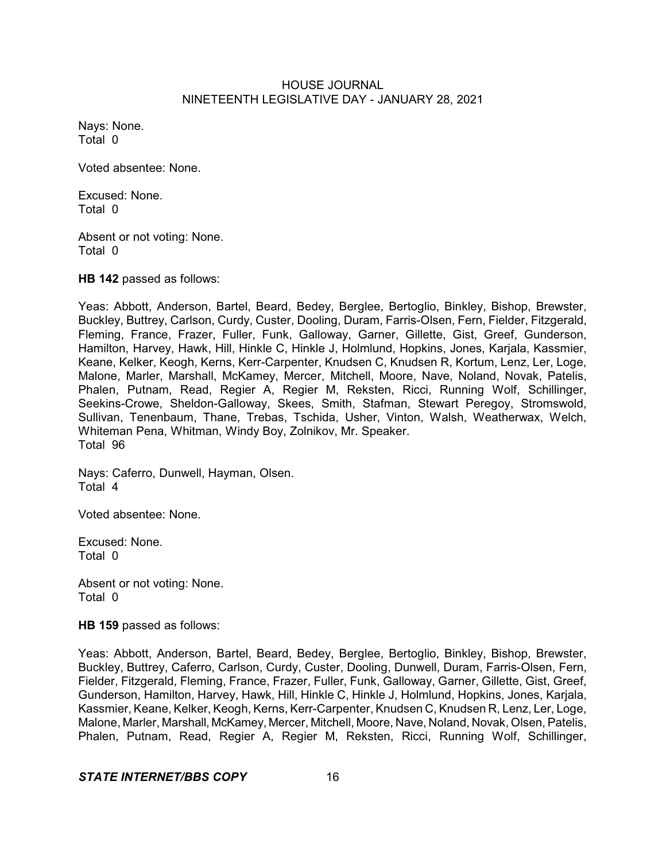Nays: None. Total 0

Voted absentee: None.

Excused: None. Total 0

Absent or not voting: None. Total 0

**HB 142** passed as follows:

Yeas: Abbott, Anderson, Bartel, Beard, Bedey, Berglee, Bertoglio, Binkley, Bishop, Brewster, Buckley, Buttrey, Carlson, Curdy, Custer, Dooling, Duram, Farris-Olsen, Fern, Fielder, Fitzgerald, Fleming, France, Frazer, Fuller, Funk, Galloway, Garner, Gillette, Gist, Greef, Gunderson, Hamilton, Harvey, Hawk, Hill, Hinkle C, Hinkle J, Holmlund, Hopkins, Jones, Karjala, Kassmier, Keane, Kelker, Keogh, Kerns, Kerr-Carpenter, Knudsen C, Knudsen R, Kortum, Lenz, Ler, Loge, Malone, Marler, Marshall, McKamey, Mercer, Mitchell, Moore, Nave, Noland, Novak, Patelis, Phalen, Putnam, Read, Regier A, Regier M, Reksten, Ricci, Running Wolf, Schillinger, Seekins-Crowe, Sheldon-Galloway, Skees, Smith, Stafman, Stewart Peregoy, Stromswold, Sullivan, Tenenbaum, Thane, Trebas, Tschida, Usher, Vinton, Walsh, Weatherwax, Welch, Whiteman Pena, Whitman, Windy Boy, Zolnikov, Mr. Speaker. Total 96

Nays: Caferro, Dunwell, Hayman, Olsen. Total 4

Voted absentee: None.

Excused: None. Total 0

Absent or not voting: None. Total 0

**HB 159** passed as follows:

Yeas: Abbott, Anderson, Bartel, Beard, Bedey, Berglee, Bertoglio, Binkley, Bishop, Brewster, Buckley, Buttrey, Caferro, Carlson, Curdy, Custer, Dooling, Dunwell, Duram, Farris-Olsen, Fern, Fielder, Fitzgerald, Fleming, France, Frazer, Fuller, Funk, Galloway, Garner, Gillette, Gist, Greef, Gunderson, Hamilton, Harvey, Hawk, Hill, Hinkle C, Hinkle J, Holmlund, Hopkins, Jones, Karjala, Kassmier, Keane, Kelker, Keogh, Kerns, Kerr-Carpenter, Knudsen C, Knudsen R, Lenz, Ler, Loge, Malone, Marler, Marshall, McKamey, Mercer, Mitchell, Moore, Nave, Noland, Novak, Olsen, Patelis, Phalen, Putnam, Read, Regier A, Regier M, Reksten, Ricci, Running Wolf, Schillinger,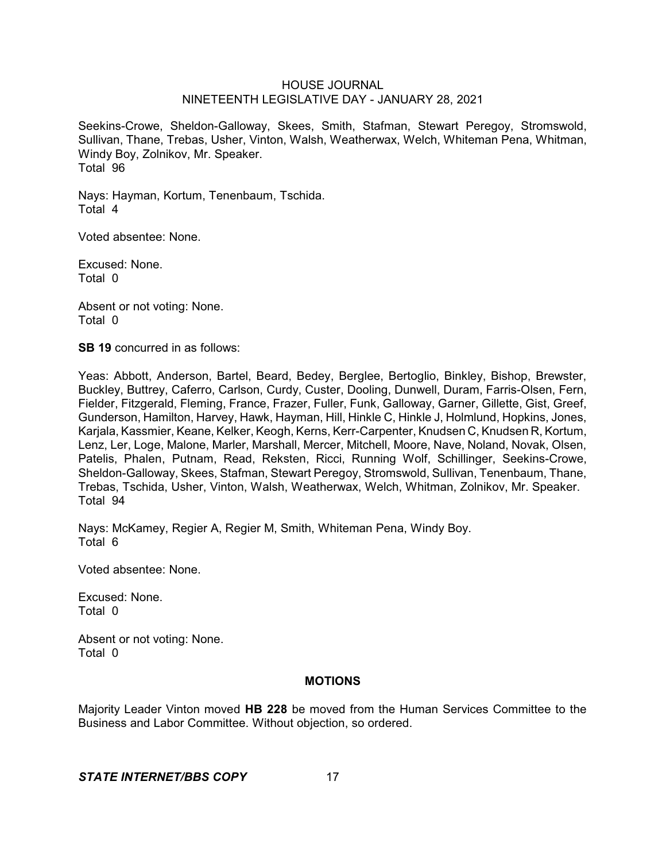Seekins-Crowe, Sheldon-Galloway, Skees, Smith, Stafman, Stewart Peregoy, Stromswold, Sullivan, Thane, Trebas, Usher, Vinton, Walsh, Weatherwax, Welch, Whiteman Pena, Whitman, Windy Boy, Zolnikov, Mr. Speaker. Total 96

Nays: Hayman, Kortum, Tenenbaum, Tschida. Total 4

Voted absentee: None.

Excused: None. Total 0

Absent or not voting: None. Total 0

**SB 19** concurred in as follows:

Yeas: Abbott, Anderson, Bartel, Beard, Bedey, Berglee, Bertoglio, Binkley, Bishop, Brewster, Buckley, Buttrey, Caferro, Carlson, Curdy, Custer, Dooling, Dunwell, Duram, Farris-Olsen, Fern, Fielder, Fitzgerald, Fleming, France, Frazer, Fuller, Funk, Galloway, Garner, Gillette, Gist, Greef, Gunderson, Hamilton, Harvey, Hawk, Hayman, Hill, Hinkle C, Hinkle J, Holmlund, Hopkins, Jones, Karjala, Kassmier, Keane, Kelker, Keogh, Kerns, Kerr-Carpenter, Knudsen C, Knudsen R, Kortum, Lenz, Ler, Loge, Malone, Marler, Marshall, Mercer, Mitchell, Moore, Nave, Noland, Novak, Olsen, Patelis, Phalen, Putnam, Read, Reksten, Ricci, Running Wolf, Schillinger, Seekins-Crowe, Sheldon-Galloway, Skees, Stafman, Stewart Peregoy, Stromswold, Sullivan, Tenenbaum, Thane, Trebas, Tschida, Usher, Vinton, Walsh, Weatherwax, Welch, Whitman, Zolnikov, Mr. Speaker. Total 94

Nays: McKamey, Regier A, Regier M, Smith, Whiteman Pena, Windy Boy. Total 6

Voted absentee: None.

Excused: None. Total 0

Absent or not voting: None. Total 0

## **MOTIONS**

Majority Leader Vinton moved **HB 228** be moved from the Human Services Committee to the Business and Labor Committee. Without objection, so ordered.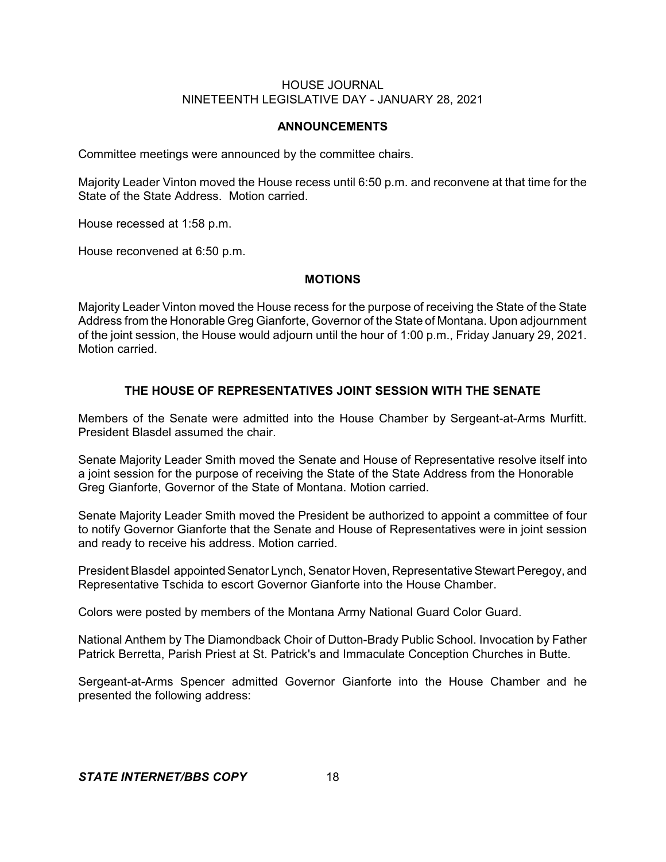## **ANNOUNCEMENTS**

Committee meetings were announced by the committee chairs.

Majority Leader Vinton moved the House recess until 6:50 p.m. and reconvene at that time for the State of the State Address. Motion carried.

House recessed at 1:58 p.m.

House reconvened at 6:50 p.m.

#### **MOTIONS**

Majority Leader Vinton moved the House recess for the purpose of receiving the State of the State Address from the Honorable Greg Gianforte, Governor of the State of Montana. Upon adjournment of the joint session, the House would adjourn until the hour of 1:00 p.m., Friday January 29, 2021. Motion carried.

## **THE HOUSE OF REPRESENTATIVES JOINT SESSION WITH THE SENATE**

Members of the Senate were admitted into the House Chamber by Sergeant-at-Arms Murfitt. President Blasdel assumed the chair.

Senate Majority Leader Smith moved the Senate and House of Representative resolve itself into a joint session for the purpose of receiving the State of the State Address from the Honorable Greg Gianforte, Governor of the State of Montana. Motion carried.

Senate Majority Leader Smith moved the President be authorized to appoint a committee of four to notify Governor Gianforte that the Senate and House of Representatives were in joint session and ready to receive his address. Motion carried.

President Blasdel appointed Senator Lynch, Senator Hoven, Representative Stewart Peregoy, and Representative Tschida to escort Governor Gianforte into the House Chamber.

Colors were posted by members of the Montana Army National Guard Color Guard.

National Anthem by The Diamondback Choir of Dutton-Brady Public School. Invocation by Father Patrick Berretta, Parish Priest at St. Patrick's and Immaculate Conception Churches in Butte.

Sergeant-at-Arms Spencer admitted Governor Gianforte into the House Chamber and he presented the following address: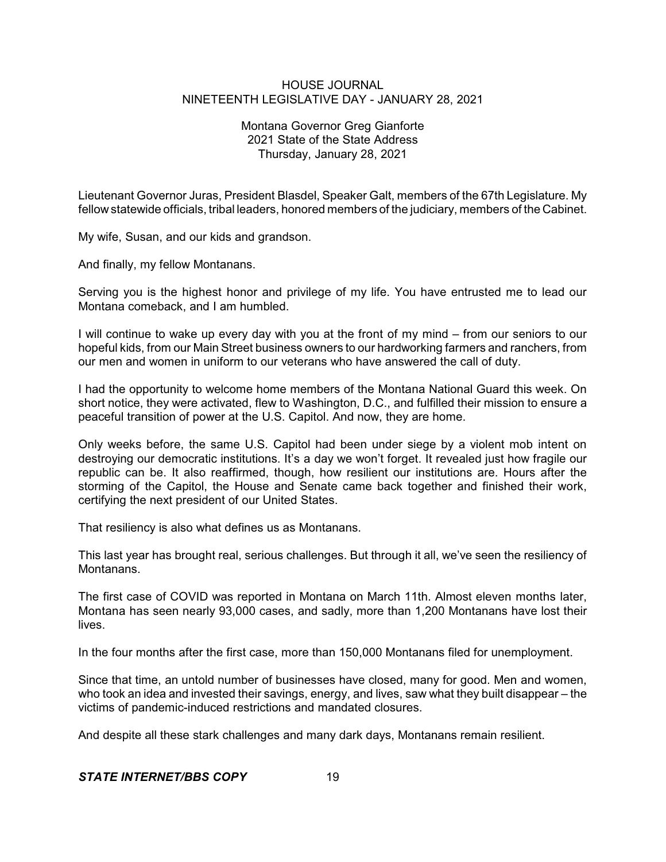## Montana Governor Greg Gianforte 2021 State of the State Address Thursday, January 28, 2021

Lieutenant Governor Juras, President Blasdel, Speaker Galt, members of the 67th Legislature. My fellow statewide officials, tribal leaders, honored members of the judiciary, members of the Cabinet.

My wife, Susan, and our kids and grandson.

And finally, my fellow Montanans.

Serving you is the highest honor and privilege of my life. You have entrusted me to lead our Montana comeback, and I am humbled.

I will continue to wake up every day with you at the front of my mind – from our seniors to our hopeful kids, from our Main Street business owners to our hardworking farmers and ranchers, from our men and women in uniform to our veterans who have answered the call of duty.

I had the opportunity to welcome home members of the Montana National Guard this week. On short notice, they were activated, flew to Washington, D.C., and fulfilled their mission to ensure a peaceful transition of power at the U.S. Capitol. And now, they are home.

Only weeks before, the same U.S. Capitol had been under siege by a violent mob intent on destroying our democratic institutions. It's a day we won't forget. It revealed just how fragile our republic can be. It also reaffirmed, though, how resilient our institutions are. Hours after the storming of the Capitol, the House and Senate came back together and finished their work, certifying the next president of our United States.

That resiliency is also what defines us as Montanans.

This last year has brought real, serious challenges. But through it all, we've seen the resiliency of **Montanans** 

The first case of COVID was reported in Montana on March 11th. Almost eleven months later, Montana has seen nearly 93,000 cases, and sadly, more than 1,200 Montanans have lost their lives.

In the four months after the first case, more than 150,000 Montanans filed for unemployment.

Since that time, an untold number of businesses have closed, many for good. Men and women, who took an idea and invested their savings, energy, and lives, saw what they built disappear – the victims of pandemic-induced restrictions and mandated closures.

And despite all these stark challenges and many dark days, Montanans remain resilient.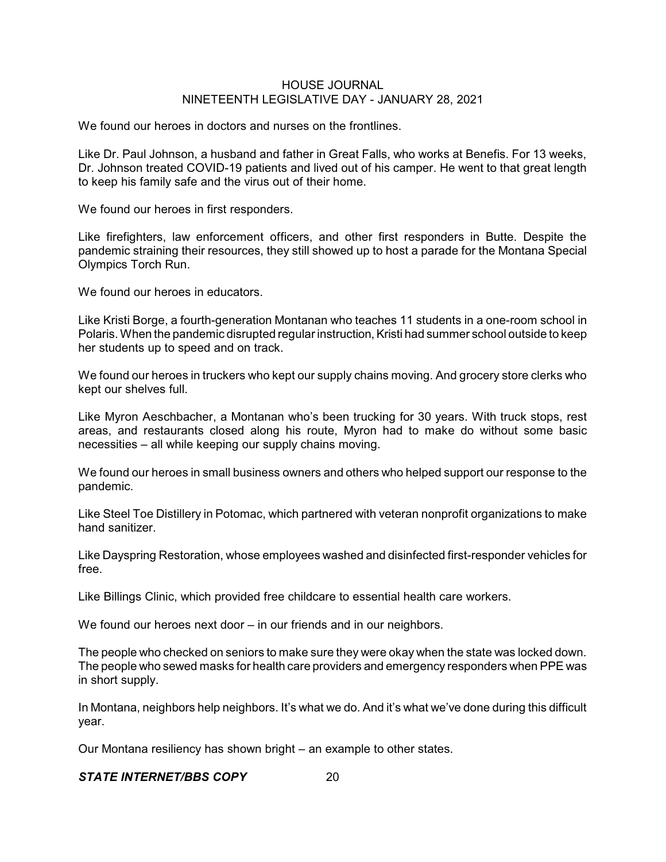We found our heroes in doctors and nurses on the frontlines.

Like Dr. Paul Johnson, a husband and father in Great Falls, who works at Benefis. For 13 weeks, Dr. Johnson treated COVID-19 patients and lived out of his camper. He went to that great length to keep his family safe and the virus out of their home.

We found our heroes in first responders.

Like firefighters, law enforcement officers, and other first responders in Butte. Despite the pandemic straining their resources, they still showed up to host a parade for the Montana Special Olympics Torch Run.

We found our heroes in educators.

Like Kristi Borge, a fourth-generation Montanan who teaches 11 students in a one-room school in Polaris. When the pandemic disrupted regular instruction, Kristi had summer school outside to keep her students up to speed and on track.

We found our heroes in truckers who kept our supply chains moving. And grocery store clerks who kept our shelves full.

Like Myron Aeschbacher, a Montanan who's been trucking for 30 years. With truck stops, rest areas, and restaurants closed along his route, Myron had to make do without some basic necessities – all while keeping our supply chains moving.

We found our heroes in small business owners and others who helped support our response to the pandemic.

Like Steel Toe Distillery in Potomac, which partnered with veteran nonprofit organizations to make hand sanitizer.

Like Dayspring Restoration, whose employees washed and disinfected first-responder vehicles for free.

Like Billings Clinic, which provided free childcare to essential health care workers.

We found our heroes next door – in our friends and in our neighbors.

The people who checked on seniors to make sure they were okay when the state was locked down. The people who sewed masks for health care providers and emergency responders when PPE was in short supply.

In Montana, neighbors help neighbors. It's what we do. And it's what we've done during this difficult year.

Our Montana resiliency has shown bright – an example to other states.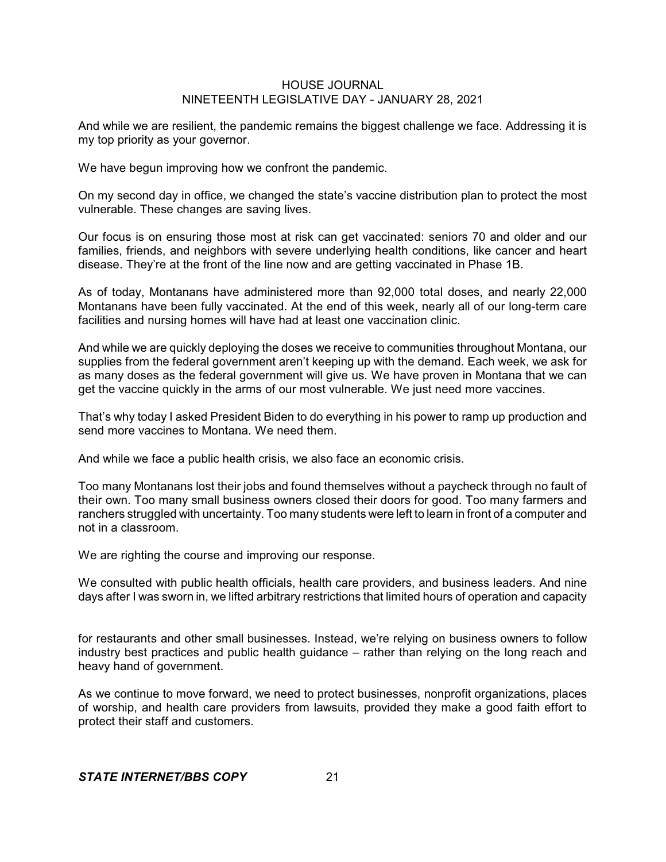And while we are resilient, the pandemic remains the biggest challenge we face. Addressing it is my top priority as your governor.

We have begun improving how we confront the pandemic.

On my second day in office, we changed the state's vaccine distribution plan to protect the most vulnerable. These changes are saving lives.

Our focus is on ensuring those most at risk can get vaccinated: seniors 70 and older and our families, friends, and neighbors with severe underlying health conditions, like cancer and heart disease. They're at the front of the line now and are getting vaccinated in Phase 1B.

As of today, Montanans have administered more than 92,000 total doses, and nearly 22,000 Montanans have been fully vaccinated. At the end of this week, nearly all of our long-term care facilities and nursing homes will have had at least one vaccination clinic.

And while we are quickly deploying the doses we receive to communities throughout Montana, our supplies from the federal government aren't keeping up with the demand. Each week, we ask for as many doses as the federal government will give us. We have proven in Montana that we can get the vaccine quickly in the arms of our most vulnerable. We just need more vaccines.

That's why today I asked President Biden to do everything in his power to ramp up production and send more vaccines to Montana. We need them.

And while we face a public health crisis, we also face an economic crisis.

Too many Montanans lost their jobs and found themselves without a paycheck through no fault of their own. Too many small business owners closed their doors for good. Too many farmers and ranchers struggled with uncertainty. Too many students were left to learn in front of a computer and not in a classroom.

We are righting the course and improving our response.

We consulted with public health officials, health care providers, and business leaders. And nine days after I was sworn in, we lifted arbitrary restrictions that limited hours of operation and capacity

for restaurants and other small businesses. Instead, we're relying on business owners to follow industry best practices and public health guidance – rather than relying on the long reach and heavy hand of government.

As we continue to move forward, we need to protect businesses, nonprofit organizations, places of worship, and health care providers from lawsuits, provided they make a good faith effort to protect their staff and customers.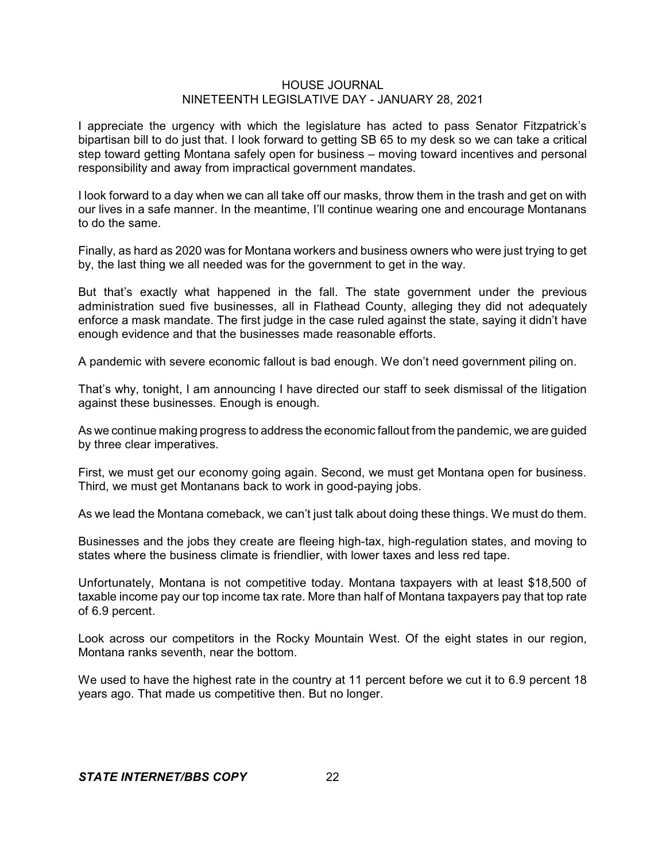I appreciate the urgency with which the legislature has acted to pass Senator Fitzpatrick's bipartisan bill to do just that. I look forward to getting SB 65 to my desk so we can take a critical step toward getting Montana safely open for business – moving toward incentives and personal responsibility and away from impractical government mandates.

I look forward to a day when we can all take off our masks, throw them in the trash and get on with our lives in a safe manner. In the meantime, I'll continue wearing one and encourage Montanans to do the same.

Finally, as hard as 2020 was for Montana workers and business owners who were just trying to get by, the last thing we all needed was for the government to get in the way.

But that's exactly what happened in the fall. The state government under the previous administration sued five businesses, all in Flathead County, alleging they did not adequately enforce a mask mandate. The first judge in the case ruled against the state, saying it didn't have enough evidence and that the businesses made reasonable efforts.

A pandemic with severe economic fallout is bad enough. We don't need government piling on.

That's why, tonight, I am announcing I have directed our staff to seek dismissal of the litigation against these businesses. Enough is enough.

As we continue making progress to address the economic fallout from the pandemic, we are guided by three clear imperatives.

First, we must get our economy going again. Second, we must get Montana open for business. Third, we must get Montanans back to work in good-paying jobs.

As we lead the Montana comeback, we can't just talk about doing these things. We must do them.

Businesses and the jobs they create are fleeing high-tax, high-regulation states, and moving to states where the business climate is friendlier, with lower taxes and less red tape.

Unfortunately, Montana is not competitive today. Montana taxpayers with at least \$18,500 of taxable income pay our top income tax rate. More than half of Montana taxpayers pay that top rate of 6.9 percent.

Look across our competitors in the Rocky Mountain West. Of the eight states in our region, Montana ranks seventh, near the bottom.

We used to have the highest rate in the country at 11 percent before we cut it to 6.9 percent 18 years ago. That made us competitive then. But no longer.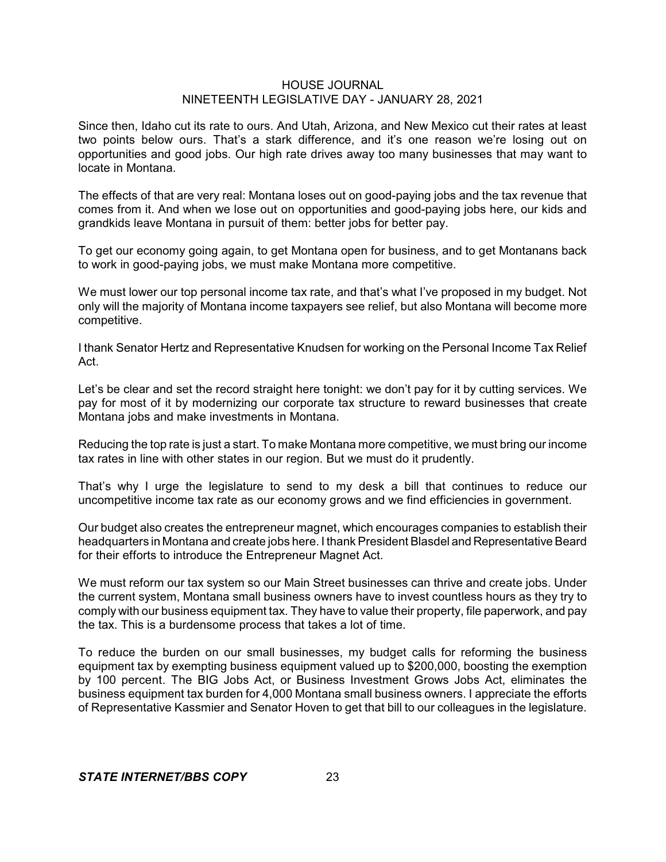Since then, Idaho cut its rate to ours. And Utah, Arizona, and New Mexico cut their rates at least two points below ours. That's a stark difference, and it's one reason we're losing out on opportunities and good jobs. Our high rate drives away too many businesses that may want to locate in Montana.

The effects of that are very real: Montana loses out on good-paying jobs and the tax revenue that comes from it. And when we lose out on opportunities and good-paying jobs here, our kids and grandkids leave Montana in pursuit of them: better jobs for better pay.

To get our economy going again, to get Montana open for business, and to get Montanans back to work in good-paying jobs, we must make Montana more competitive.

We must lower our top personal income tax rate, and that's what I've proposed in my budget. Not only will the majority of Montana income taxpayers see relief, but also Montana will become more competitive.

I thank Senator Hertz and Representative Knudsen for working on the Personal Income Tax Relief Act.

Let's be clear and set the record straight here tonight: we don't pay for it by cutting services. We pay for most of it by modernizing our corporate tax structure to reward businesses that create Montana jobs and make investments in Montana.

Reducing the top rate is just a start. To make Montana more competitive, we must bring our income tax rates in line with other states in our region. But we must do it prudently.

That's why I urge the legislature to send to my desk a bill that continues to reduce our uncompetitive income tax rate as our economy grows and we find efficiencies in government.

Our budget also creates the entrepreneur magnet, which encourages companies to establish their headquarters in Montana and create jobs here. I thank President Blasdel and Representative Beard for their efforts to introduce the Entrepreneur Magnet Act.

We must reform our tax system so our Main Street businesses can thrive and create jobs. Under the current system, Montana small business owners have to invest countless hours as they try to comply with our business equipment tax. They have to value their property, file paperwork, and pay the tax. This is a burdensome process that takes a lot of time.

To reduce the burden on our small businesses, my budget calls for reforming the business equipment tax by exempting business equipment valued up to \$200,000, boosting the exemption by 100 percent. The BIG Jobs Act, or Business Investment Grows Jobs Act, eliminates the business equipment tax burden for 4,000 Montana small business owners. I appreciate the efforts of Representative Kassmier and Senator Hoven to get that bill to our colleagues in the legislature.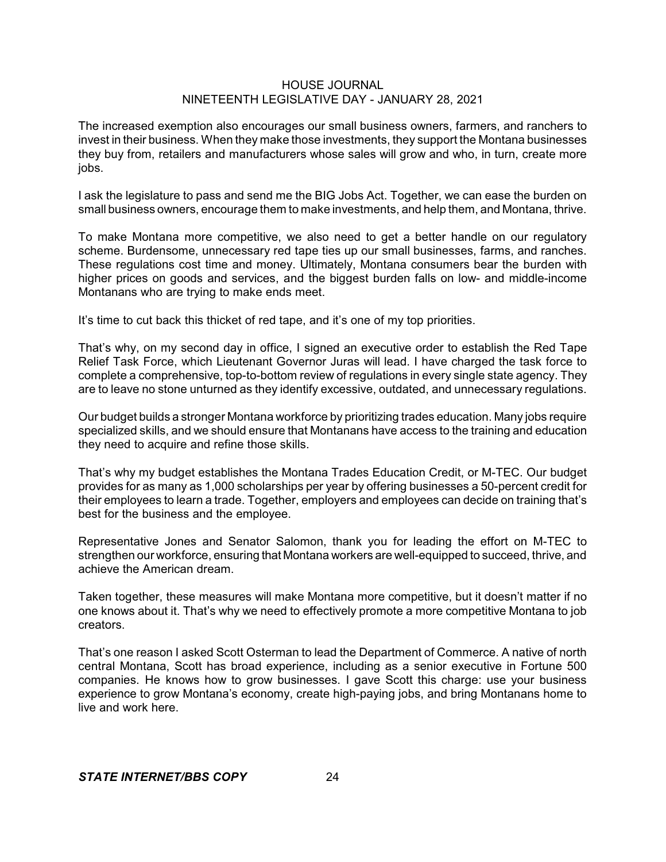The increased exemption also encourages our small business owners, farmers, and ranchers to invest in their business. When they make those investments, they support the Montana businesses they buy from, retailers and manufacturers whose sales will grow and who, in turn, create more jobs.

I ask the legislature to pass and send me the BIG Jobs Act. Together, we can ease the burden on small business owners, encourage them to make investments, and help them, and Montana, thrive.

To make Montana more competitive, we also need to get a better handle on our regulatory scheme. Burdensome, unnecessary red tape ties up our small businesses, farms, and ranches. These regulations cost time and money. Ultimately, Montana consumers bear the burden with higher prices on goods and services, and the biggest burden falls on low- and middle-income Montanans who are trying to make ends meet.

It's time to cut back this thicket of red tape, and it's one of my top priorities.

That's why, on my second day in office, I signed an executive order to establish the Red Tape Relief Task Force, which Lieutenant Governor Juras will lead. I have charged the task force to complete a comprehensive, top-to-bottom review of regulations in every single state agency. They are to leave no stone unturned as they identify excessive, outdated, and unnecessary regulations.

Our budget builds a stronger Montana workforce by prioritizing trades education. Many jobs require specialized skills, and we should ensure that Montanans have access to the training and education they need to acquire and refine those skills.

That's why my budget establishes the Montana Trades Education Credit, or M-TEC. Our budget provides for as many as 1,000 scholarships per year by offering businesses a 50-percent credit for their employees to learn a trade. Together, employers and employees can decide on training that's best for the business and the employee.

Representative Jones and Senator Salomon, thank you for leading the effort on M-TEC to strengthen our workforce, ensuring that Montana workers are well-equipped to succeed, thrive, and achieve the American dream.

Taken together, these measures will make Montana more competitive, but it doesn't matter if no one knows about it. That's why we need to effectively promote a more competitive Montana to job creators.

That's one reason I asked Scott Osterman to lead the Department of Commerce. A native of north central Montana, Scott has broad experience, including as a senior executive in Fortune 500 companies. He knows how to grow businesses. I gave Scott this charge: use your business experience to grow Montana's economy, create high-paying jobs, and bring Montanans home to live and work here.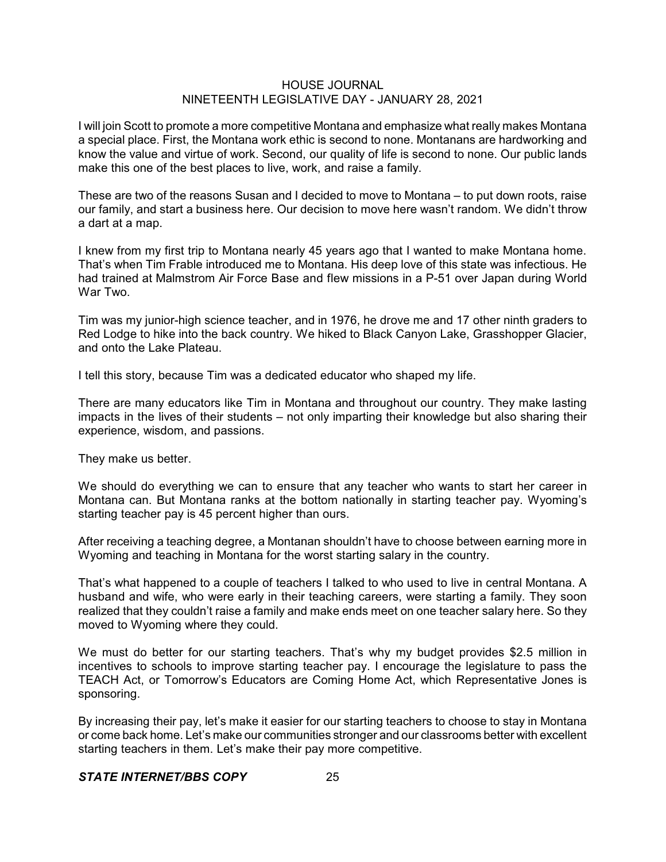I will join Scott to promote a more competitive Montana and emphasize what really makes Montana a special place. First, the Montana work ethic is second to none. Montanans are hardworking and know the value and virtue of work. Second, our quality of life is second to none. Our public lands make this one of the best places to live, work, and raise a family.

These are two of the reasons Susan and I decided to move to Montana – to put down roots, raise our family, and start a business here. Our decision to move here wasn't random. We didn't throw a dart at a map.

I knew from my first trip to Montana nearly 45 years ago that I wanted to make Montana home. That's when Tim Frable introduced me to Montana. His deep love of this state was infectious. He had trained at Malmstrom Air Force Base and flew missions in a P-51 over Japan during World War Two.

Tim was my junior-high science teacher, and in 1976, he drove me and 17 other ninth graders to Red Lodge to hike into the back country. We hiked to Black Canyon Lake, Grasshopper Glacier, and onto the Lake Plateau.

I tell this story, because Tim was a dedicated educator who shaped my life.

There are many educators like Tim in Montana and throughout our country. They make lasting impacts in the lives of their students – not only imparting their knowledge but also sharing their experience, wisdom, and passions.

They make us better.

We should do everything we can to ensure that any teacher who wants to start her career in Montana can. But Montana ranks at the bottom nationally in starting teacher pay. Wyoming's starting teacher pay is 45 percent higher than ours.

After receiving a teaching degree, a Montanan shouldn't have to choose between earning more in Wyoming and teaching in Montana for the worst starting salary in the country.

That's what happened to a couple of teachers I talked to who used to live in central Montana. A husband and wife, who were early in their teaching careers, were starting a family. They soon realized that they couldn't raise a family and make ends meet on one teacher salary here. So they moved to Wyoming where they could.

We must do better for our starting teachers. That's why my budget provides \$2.5 million in incentives to schools to improve starting teacher pay. I encourage the legislature to pass the TEACH Act, or Tomorrow's Educators are Coming Home Act, which Representative Jones is sponsoring.

By increasing their pay, let's make it easier for our starting teachers to choose to stay in Montana or come back home. Let's make our communities stronger and our classrooms better with excellent starting teachers in them. Let's make their pay more competitive.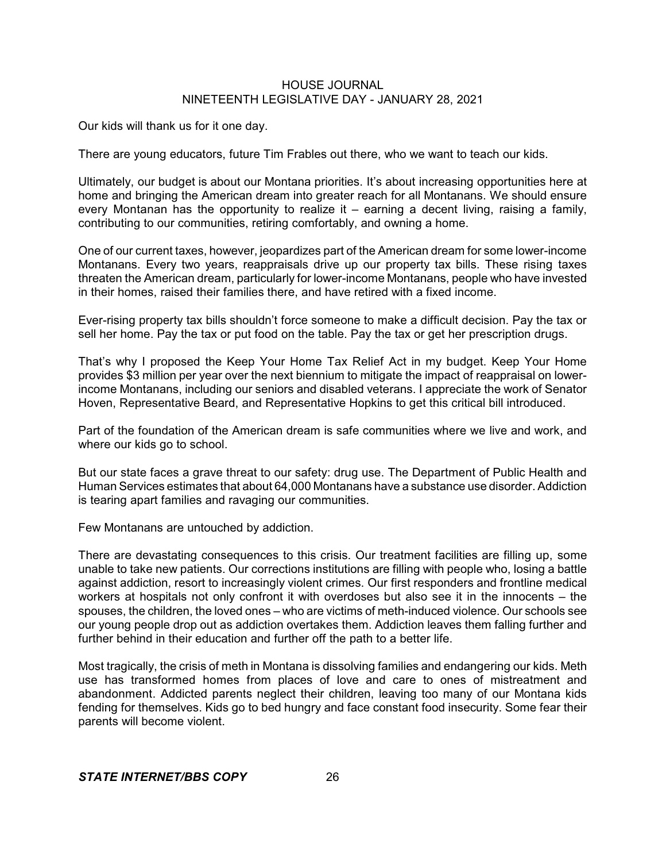Our kids will thank us for it one day.

There are young educators, future Tim Frables out there, who we want to teach our kids.

Ultimately, our budget is about our Montana priorities. It's about increasing opportunities here at home and bringing the American dream into greater reach for all Montanans. We should ensure every Montanan has the opportunity to realize it  $-$  earning a decent living, raising a family, contributing to our communities, retiring comfortably, and owning a home.

One of our current taxes, however, jeopardizes part of the American dream for some lower-income Montanans. Every two years, reappraisals drive up our property tax bills. These rising taxes threaten the American dream, particularly for lower-income Montanans, people who have invested in their homes, raised their families there, and have retired with a fixed income.

Ever-rising property tax bills shouldn't force someone to make a difficult decision. Pay the tax or sell her home. Pay the tax or put food on the table. Pay the tax or get her prescription drugs.

That's why I proposed the Keep Your Home Tax Relief Act in my budget. Keep Your Home provides \$3 million per year over the next biennium to mitigate the impact of reappraisal on lowerincome Montanans, including our seniors and disabled veterans. I appreciate the work of Senator Hoven, Representative Beard, and Representative Hopkins to get this critical bill introduced.

Part of the foundation of the American dream is safe communities where we live and work, and where our kids go to school.

But our state faces a grave threat to our safety: drug use. The Department of Public Health and Human Services estimates that about 64,000 Montanans have a substance use disorder. Addiction is tearing apart families and ravaging our communities.

Few Montanans are untouched by addiction.

There are devastating consequences to this crisis. Our treatment facilities are filling up, some unable to take new patients. Our corrections institutions are filling with people who, losing a battle against addiction, resort to increasingly violent crimes. Our first responders and frontline medical workers at hospitals not only confront it with overdoses but also see it in the innocents – the spouses, the children, the loved ones – who are victims of meth-induced violence. Our schools see our young people drop out as addiction overtakes them. Addiction leaves them falling further and further behind in their education and further off the path to a better life.

Most tragically, the crisis of meth in Montana is dissolving families and endangering our kids. Meth use has transformed homes from places of love and care to ones of mistreatment and abandonment. Addicted parents neglect their children, leaving too many of our Montana kids fending for themselves. Kids go to bed hungry and face constant food insecurity. Some fear their parents will become violent.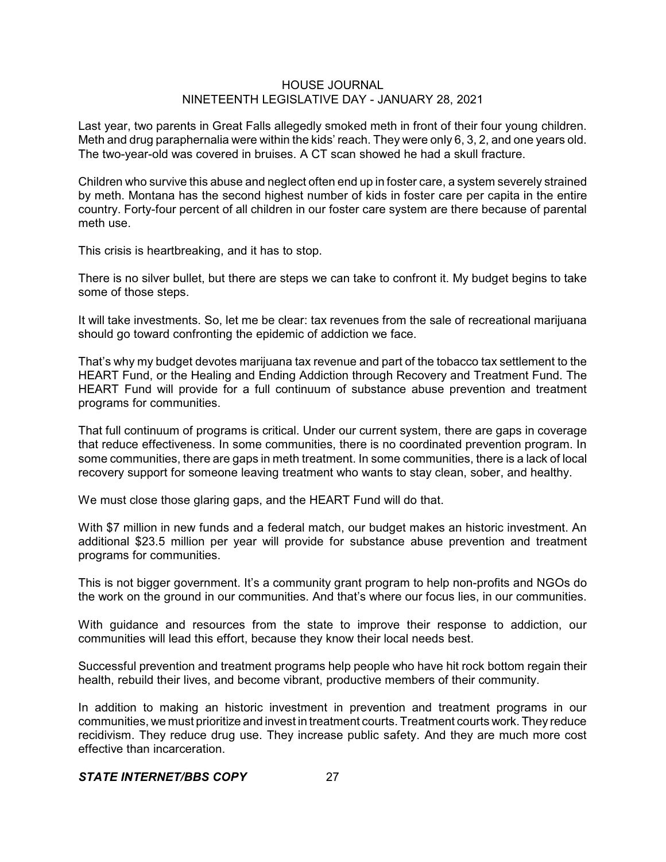Last year, two parents in Great Falls allegedly smoked meth in front of their four young children. Meth and drug paraphernalia were within the kids' reach. They were only 6, 3, 2, and one years old. The two-year-old was covered in bruises. A CT scan showed he had a skull fracture.

Children who survive this abuse and neglect often end up in foster care, a system severely strained by meth. Montana has the second highest number of kids in foster care per capita in the entire country. Forty-four percent of all children in our foster care system are there because of parental meth use.

This crisis is heartbreaking, and it has to stop.

There is no silver bullet, but there are steps we can take to confront it. My budget begins to take some of those steps.

It will take investments. So, let me be clear: tax revenues from the sale of recreational marijuana should go toward confronting the epidemic of addiction we face.

That's why my budget devotes marijuana tax revenue and part of the tobacco tax settlement to the HEART Fund, or the Healing and Ending Addiction through Recovery and Treatment Fund. The HEART Fund will provide for a full continuum of substance abuse prevention and treatment programs for communities.

That full continuum of programs is critical. Under our current system, there are gaps in coverage that reduce effectiveness. In some communities, there is no coordinated prevention program. In some communities, there are gaps in meth treatment. In some communities, there is a lack of local recovery support for someone leaving treatment who wants to stay clean, sober, and healthy.

We must close those glaring gaps, and the HEART Fund will do that.

With \$7 million in new funds and a federal match, our budget makes an historic investment. An additional \$23.5 million per year will provide for substance abuse prevention and treatment programs for communities.

This is not bigger government. It's a community grant program to help non-profits and NGOs do the work on the ground in our communities. And that's where our focus lies, in our communities.

With guidance and resources from the state to improve their response to addiction, our communities will lead this effort, because they know their local needs best.

Successful prevention and treatment programs help people who have hit rock bottom regain their health, rebuild their lives, and become vibrant, productive members of their community.

In addition to making an historic investment in prevention and treatment programs in our communities, we must prioritize and invest in treatment courts. Treatment courts work. They reduce recidivism. They reduce drug use. They increase public safety. And they are much more cost effective than incarceration.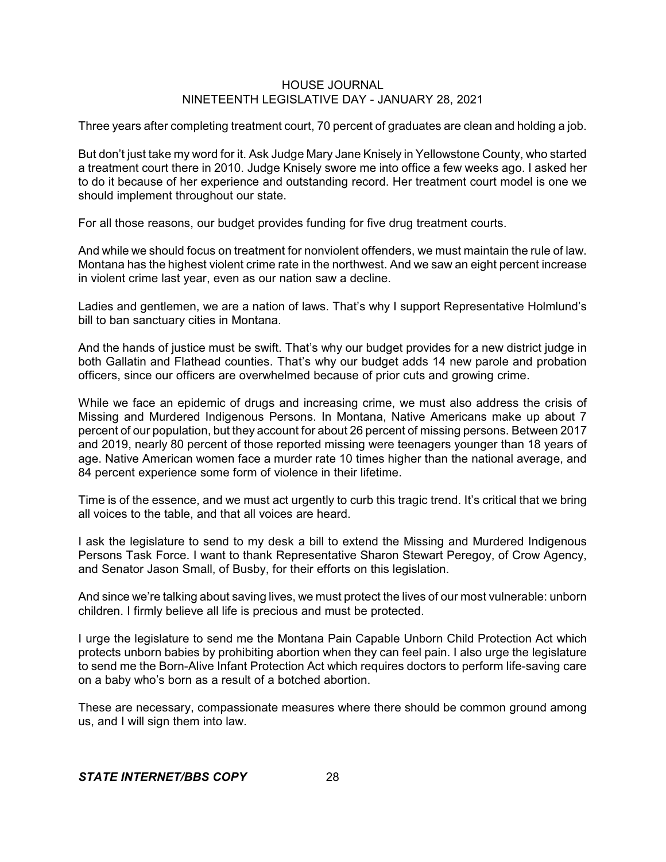Three years after completing treatment court, 70 percent of graduates are clean and holding a job.

But don't just take my word for it. Ask Judge Mary Jane Knisely in Yellowstone County, who started a treatment court there in 2010. Judge Knisely swore me into office a few weeks ago. I asked her to do it because of her experience and outstanding record. Her treatment court model is one we should implement throughout our state.

For all those reasons, our budget provides funding for five drug treatment courts.

And while we should focus on treatment for nonviolent offenders, we must maintain the rule of law. Montana has the highest violent crime rate in the northwest. And we saw an eight percent increase in violent crime last year, even as our nation saw a decline.

Ladies and gentlemen, we are a nation of laws. That's why I support Representative Holmlund's bill to ban sanctuary cities in Montana.

And the hands of justice must be swift. That's why our budget provides for a new district judge in both Gallatin and Flathead counties. That's why our budget adds 14 new parole and probation officers, since our officers are overwhelmed because of prior cuts and growing crime.

While we face an epidemic of drugs and increasing crime, we must also address the crisis of Missing and Murdered Indigenous Persons. In Montana, Native Americans make up about 7 percent of our population, but they account for about 26 percent of missing persons. Between 2017 and 2019, nearly 80 percent of those reported missing were teenagers younger than 18 years of age. Native American women face a murder rate 10 times higher than the national average, and 84 percent experience some form of violence in their lifetime.

Time is of the essence, and we must act urgently to curb this tragic trend. It's critical that we bring all voices to the table, and that all voices are heard.

I ask the legislature to send to my desk a bill to extend the Missing and Murdered Indigenous Persons Task Force. I want to thank Representative Sharon Stewart Peregoy, of Crow Agency, and Senator Jason Small, of Busby, for their efforts on this legislation.

And since we're talking about saving lives, we must protect the lives of our most vulnerable: unborn children. I firmly believe all life is precious and must be protected.

I urge the legislature to send me the Montana Pain Capable Unborn Child Protection Act which protects unborn babies by prohibiting abortion when they can feel pain. I also urge the legislature to send me the Born-Alive Infant Protection Act which requires doctors to perform life-saving care on a baby who's born as a result of a botched abortion.

These are necessary, compassionate measures where there should be common ground among us, and I will sign them into law.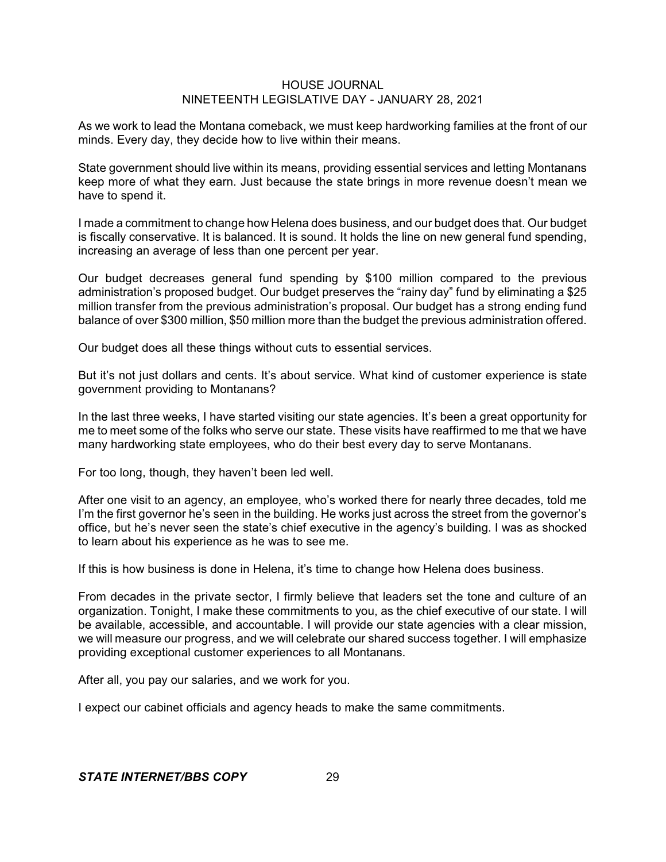As we work to lead the Montana comeback, we must keep hardworking families at the front of our minds. Every day, they decide how to live within their means.

State government should live within its means, providing essential services and letting Montanans keep more of what they earn. Just because the state brings in more revenue doesn't mean we have to spend it.

I made a commitment to change how Helena does business, and our budget does that. Our budget is fiscally conservative. It is balanced. It is sound. It holds the line on new general fund spending, increasing an average of less than one percent per year.

Our budget decreases general fund spending by \$100 million compared to the previous administration's proposed budget. Our budget preserves the "rainy day" fund by eliminating a \$25 million transfer from the previous administration's proposal. Our budget has a strong ending fund balance of over \$300 million, \$50 million more than the budget the previous administration offered.

Our budget does all these things without cuts to essential services.

But it's not just dollars and cents. It's about service. What kind of customer experience is state government providing to Montanans?

In the last three weeks, I have started visiting our state agencies. It's been a great opportunity for me to meet some of the folks who serve our state. These visits have reaffirmed to me that we have many hardworking state employees, who do their best every day to serve Montanans.

For too long, though, they haven't been led well.

After one visit to an agency, an employee, who's worked there for nearly three decades, told me I'm the first governor he's seen in the building. He works just across the street from the governor's office, but he's never seen the state's chief executive in the agency's building. I was as shocked to learn about his experience as he was to see me.

If this is how business is done in Helena, it's time to change how Helena does business.

From decades in the private sector, I firmly believe that leaders set the tone and culture of an organization. Tonight, I make these commitments to you, as the chief executive of our state. I will be available, accessible, and accountable. I will provide our state agencies with a clear mission, we will measure our progress, and we will celebrate our shared success together. I will emphasize providing exceptional customer experiences to all Montanans.

After all, you pay our salaries, and we work for you.

I expect our cabinet officials and agency heads to make the same commitments.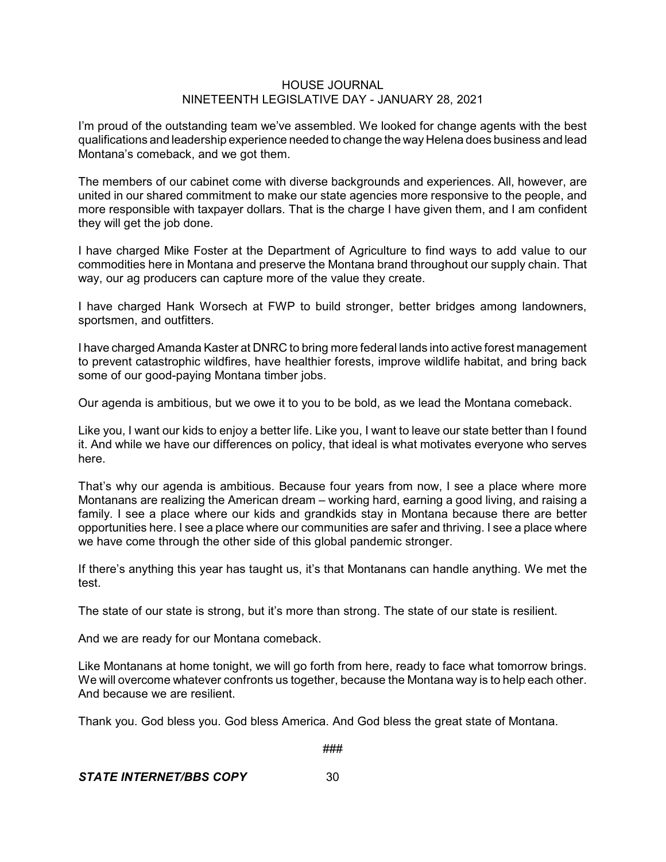I'm proud of the outstanding team we've assembled. We looked for change agents with the best qualifications and leadership experience needed to change the way Helena does business and lead Montana's comeback, and we got them.

The members of our cabinet come with diverse backgrounds and experiences. All, however, are united in our shared commitment to make our state agencies more responsive to the people, and more responsible with taxpayer dollars. That is the charge I have given them, and I am confident they will get the job done.

I have charged Mike Foster at the Department of Agriculture to find ways to add value to our commodities here in Montana and preserve the Montana brand throughout our supply chain. That way, our ag producers can capture more of the value they create.

I have charged Hank Worsech at FWP to build stronger, better bridges among landowners, sportsmen, and outfitters.

I have charged Amanda Kaster at DNRC to bring more federal lands into active forest management to prevent catastrophic wildfires, have healthier forests, improve wildlife habitat, and bring back some of our good-paying Montana timber jobs.

Our agenda is ambitious, but we owe it to you to be bold, as we lead the Montana comeback.

Like you, I want our kids to enjoy a better life. Like you, I want to leave our state better than I found it. And while we have our differences on policy, that ideal is what motivates everyone who serves here.

That's why our agenda is ambitious. Because four years from now, I see a place where more Montanans are realizing the American dream – working hard, earning a good living, and raising a family. I see a place where our kids and grandkids stay in Montana because there are better opportunities here. I see a place where our communities are safer and thriving. I see a place where we have come through the other side of this global pandemic stronger.

If there's anything this year has taught us, it's that Montanans can handle anything. We met the test.

The state of our state is strong, but it's more than strong. The state of our state is resilient.

And we are ready for our Montana comeback.

Like Montanans at home tonight, we will go forth from here, ready to face what tomorrow brings. We will overcome whatever confronts us together, because the Montana way is to help each other. And because we are resilient.

Thank you. God bless you. God bless America. And God bless the great state of Montana.

###